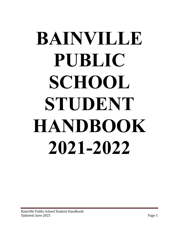# **BAINVILLE PUBLIC SCHOOL STUDENT HANDBOOK 2021-2022**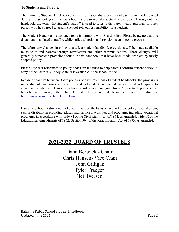#### **To Students and Parents:**

The Bainville Student Handbook contains information that students and parents are likely to need during the school year. The handbook is organized alphabetically by topic. Throughout the handbook, the term "the student's parent" is used to refer to the parent, legal guardian, or other person who has agreed to assume school-related responsibility for a student.

The Student Handbook is designed to be in harmony with Board policy. Please be aware that this document is updated annually, while policy adoption and revision is an ongoing process.

Therefore, any changes in policy that affect student handbook provisions will be made available to students and parents through newsletters and other communications. These changes will generally supersede provisions found in this handbook that have been made obsolete by newly adopted policy.

Please note that references to policy codes are included to help parents confirm current policy. A copy of the District's Policy Manual is available in the school office.

In case of conflict between Board policies or any provisions of student handbooks, the provisions in the student handbooks are to be followed. All students and parents are expected and required to adhere and abide by all Bainville School Board policies and guidelines. Access to all policies may be obtained through the District clerk during normal business hours or online at [http://www.bainvilleschool.k12.mt.us/.](http://www.bainvilleschool.k12.mt.us/)

Bainville School District does not discriminate on the basis of race, religion, color, national origin, sex, or disability in providing educational services, activities, and programs, including vocational programs, in accordance with Title VI of the Civil Rights Act of 1964, as amended; Title IX of the Educational Amendments of 1972; Section 504 of the Rehabilitation Act of 1973, as amended.

# **2021-2022 BOARD OF TRUSTEES**

Dana Berwick - Chair Chris Hansen- Vice Chair John Gilligan Tyler Traeger Neil Iversen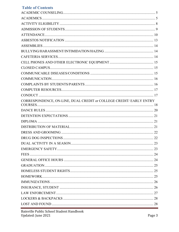## **Table of Contents**

| CORRESPONDENCE, ON-LINE, DUAL CREDIT or COLLEGE CREDIT/ EARLY ENTRY |  |
|---------------------------------------------------------------------|--|
|                                                                     |  |
|                                                                     |  |
|                                                                     |  |
|                                                                     |  |
|                                                                     |  |
|                                                                     |  |
|                                                                     |  |
|                                                                     |  |
|                                                                     |  |
|                                                                     |  |
|                                                                     |  |
|                                                                     |  |
|                                                                     |  |
|                                                                     |  |
|                                                                     |  |
|                                                                     |  |
|                                                                     |  |
|                                                                     |  |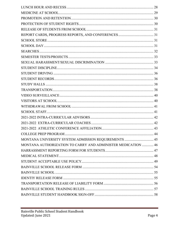| MONTANA UNIVERSITY SYSTEM ADMISSION REQUIREMENTS  45         |  |
|--------------------------------------------------------------|--|
| MONTANA AUTHORIZATION TO CARRY AND ADMINISTER MEDICATION  46 |  |
|                                                              |  |
|                                                              |  |
|                                                              |  |
|                                                              |  |
|                                                              |  |
|                                                              |  |
|                                                              |  |
|                                                              |  |
|                                                              |  |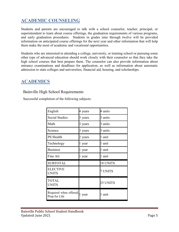# <span id="page-4-0"></span>**ACADEMIC COUNSELING**

Students and parents are encouraged to talk with a school counselor, teacher, principal, or superintendent to learn about course offerings, the graduation requirements of various programs, and early graduation procedures. Students in grades nine through twelve will be provided information on anticipated course offerings for the next year and other information that will help them make the most of academic and vocational opportunities.

Students who are interested in attending a college, university, or training school or pursuing some other type of advanced education should work closely with their counselor so that they take the high school courses that best prepare them. The counselor can also provide information about entrance examinations and deadlines for application, as well as information about automatic admission to state colleges and universities, financial aid, housing, and scholarships.

## <span id="page-4-1"></span>**ACADEMICS**

## Bainville High School Requirements

Successful completion of the following subjects:

| English                                 | 4 years | 4 units  |
|-----------------------------------------|---------|----------|
| <b>Social Studies</b>                   | 3 years | 3 units  |
| Math                                    | 3 years | 3 units  |
| Science                                 | 3 years | 3 units  |
| PE/Health                               | 2 years | 1 unit   |
| Technology                              | 1 year  | 1 unit   |
| <b>Business</b>                         | 1 year  | 1 unit   |
| Fine Art                                | 1 year  | 1 unit   |
| <b>SUBTOTAL</b>                         |         | 18 UNITS |
| <b>ELECTIVE</b><br><b>UNITS</b>         |         | 7 UNITS  |
| <b>TOTAL</b><br><b>UNITS</b>            |         | 25 UNITS |
| Required when offered:<br>Prep for Life | 1 year  | 1 unit   |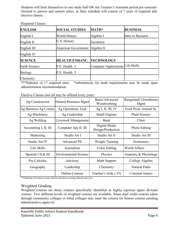Students will limit themselves to one study hall OR one Teacher's Assistant period per semester (limited to juniors and seniors only), so their schedule will consist of 7 units of required and elective classes.

| <b>ENGLISH</b>       | <b>SOCIAL STUDIES</b>      | <b>MATH*</b>                      | <b>BUSINESS</b>   |
|----------------------|----------------------------|-----------------------------------|-------------------|
| English I            | World History              | Algebra I                         | Intro to Business |
| English II           | U.S. History               | Geometry                          |                   |
| English III          | <b>American Government</b> | Algebra II                        |                   |
| English IV           |                            |                                   |                   |
| <b>SCIENCE</b>       | <b>HEALTH ENHANC.</b>      | <b>TECHNOLOGY</b>                 |                   |
| <b>Earth Science</b> | P.E. Health .5             | Computer Applications Life Skills |                   |
| <b>Biology</b>       | P.E. Health .5             |                                   |                   |
| Chemistry            |                            |                                   |                   |

Required Classes:

\*\*\*Subtotal of 17 required units \*substitutions for math requirements may be made upon administration recommendation.

| Ag-Construction       | Natural Resource Mgmt        | Basic/Advanced<br>Woodworking      | Rangeland/ Greenhouse<br>Mgmt |
|-----------------------|------------------------------|------------------------------------|-------------------------------|
| Ag Business/Ag Comm.  | Ag Operations Tech           | Ag I, II, III, IV                  | Food Prod./Animal Sc.         |
| Ag Machinery          | Ag Leadership                | <b>Small Engines</b>               | <b>Plant Science</b>          |
| Ag Welding            | Livestock Management         | Band                               | Choir                         |
| Accounting I, II, III | Computer Aps II, III         | Digital Media<br>Design/Production | Photo Editing                 |
| Marketing             | Studio Art I                 | Studio Art II                      | Studio Art III                |
| Studio Art IV         | <b>Advanced PE</b>           | <b>Weight Training</b>             | Economics                     |
| Life Skills           | Journalism                   | Video Editing                      | <b>World Affairs</b>          |
| Spanish I II, & III   | <b>Environmental Science</b> | Physics                            | Anatomy & Physiology          |
| Pre-Calculus          | Advisory                     | Math Support                       | College Algebra               |
| Geography             | Leadership                   | Chemistry                          | <b>Natural Parks</b>          |
|                       | Online-Courses               | Teacher's Aide (.25)               | Criminal Justice              |

Elective Classes (not all may be offered every year):

\*\*\*Subtotal of 8 elective units with not all electives being offered each year.

## Weighted Grading

Weighted courses are those courses specifically identified as highly rigorous upper division courses. Two different levels of weighted courses are available. Some dual credit courses taken through community colleges or tribal colleges may meet the criteria for honors courses pending administrative approval.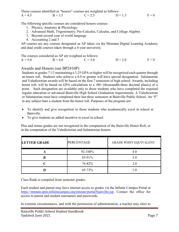|           |           | Those courses identified as "honors" courses are weighted as follows: |           |         |
|-----------|-----------|-----------------------------------------------------------------------|-----------|---------|
| $A = 4.5$ | $B = 3.5$ | $C = 2.5$                                                             | $D = 1.5$ | $F = 0$ |

The following specific courses are considered honors courses:

- 1. Physics, Anatomy & Physiology
- 2. Advanced Math, Trigonometry, Pre-Calculus, Calculus, and College Algebra
- 3. Beyond second year of world language
- 4. Accounting 2 and 3

AP courses are any courses designated as AP taken via the Montana Digital Learning Academy and dual credit courses taken through a 4-year university.

The courses considered as AP are weighted as follows:

 $A = 5.0$  B = 4.0 C = 3.0 D = 2.0 F = 0

## Awards and Honors (see BP2410P)

Students in grades 7-12 maintaining a 3.25 GPA or higher will be recognized each quarter through an honor roll. Students who achieve a 4.0 or greater will have special designation. Salutatorian and Valedictorian awards will be based on the first 7 semesters of high school. Awards, including honor roll, will be based on GPA calculations to a .001 (thousandth-three decimal places) of a point. Such designation are available only to those students who have completed the required regular education or advanced Bainville High School Graduation requirements. A Valedictorian or Salutatorian must have completed their last three semesters at Bainville Public School. An "F" in any subject bars a student from the honor roll. Purposes of the program are:

- To identify and give recognition to those students who academically excel in school at Bainville.
- To give students an added incentive to excel in school.

Plus and minus grades are not recognized in the computation of the Bainville Honor Roll, or in the computation of the Valedictorian and Salutatorian honors.

| <b>LETTER GRADE</b> | <b>PERCENTAGE</b> | <b>GRADE POINT EQUIVALENT</b> |
|---------------------|-------------------|-------------------------------|
|                     | 92-100%           | 4.0                           |
|                     | 83-91%            | 3.0                           |
|                     | 74-82%            | 2.0                           |
|                     | 65-73%            | 1.0                           |

Class Rank is compiled from semester grades.

Each student and parent may have internet access to grades via the Infinite Campus Portal at [https://mtstate.epm.infinitecampus.org/mtstate/portal/bainville.jsp.](https://mtstate.epm.infinitecampus.org/mtstate/portal/bainville.jsp) Contact the office for access to parent and student usernames and passwords.

In extreme circumstances, and with the permission of administration, a teacher may elect to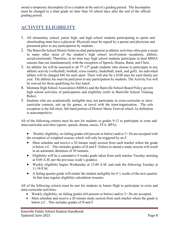award a temporary Incomplete (I) to a student at the end of a grading period. The Incomplete must be changed to a final grade no later than 10 school days after the end of the official grading period.

# <span id="page-7-0"></span>**ACTIVITY ELIGIBILITY**

- 1. All elementary school, junior high, and high school students participating in sports and cheerleading must have a physical. Physicals must be signed by a parent and physician and presented prior to any participation by students.
- 2. The Bainville School District believes dual participation in athletic activities often puts a strain in many other areas of the student's high school involvement (academic, athletic, social/emotional). Therefore, at no time may high school students participate in dual MHSA seasons that run simultaneously with the exception of Speech, Drama, Band, and Choir.
- 3. An athletic fee will be assessed to all  $7<sup>th</sup>$ -12<sup>th</sup> grade students who choose to participate in any athletic activity (volleyball, football, cross country, basketball, track, and golf). An individual athlete will be charged \$40 for each sport. There will also be a \$100 max for each family per year. The athletic fee must be paid prior to any participation by students. The Activity Fee will be waived for those qualifying for free lunch.
- 4. Montana High School Association (MHSA) and the Bainville School Board Policy govern high school activities of participation and eligibility (refer to Bainville School Training Rules).
- 5. Students who are academically ineligible may not participate in extra-curricular or intracurricular contests, suit up for games, or travel with the team/organization. The sole exception is the full choir, full band portion of District Music Festival which, by definition is noncompetitive.

All of the following criteria must be met for students in grades 9-12 to participate in extra and intra-curricular activities (sports, speech, drama, music, FFA, BPA):

- Weekly eligibility, no failing grades (64 percent or below) and/or 2+ Ds are accepted with the exception of weighted courses which will only be triggered by an F.
- Must schedule and receive a 20 minute study session from each teacher where the grade is below a C. This includes grades of D and F. Failure to attend a study session will result in an automatic detention of 30 minutes.
- Eligibility will be a cumulative 9 weeks grade taken from each teacher Tuesday morning at 8:00 A.M. per the previous week's grade(s).
- Weekly eligibility begins Wednesday at 12:00 A.M. and ends the following Tuesday at 11:59 P.M.
- A failing quarter grade will render the student ineligible for  $4\frac{1}{2}$  weeks of the next quarter. At that time regular eligibility calculation resumes.

All of the following criteria must be met for students in Junior High to participate in extra and intra-curricular activities:

- Weekly eligibility, no failing grades  $(64$  percent or below) and/or  $2+$  Ds are accepted.
- Must schedule and receive a 20 minute study session from each teacher where the grade is below a C. This includes grades of D and F.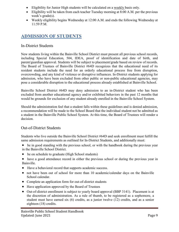- Eligibility for Junior High students will be calculated on a weekly basis only.
- Eligibility will be taken from each teacher Tuesday morning at 8:00 A.M. per the previous week's grade(s).
- Weekly eligibility begins Wednesday at 12:00 A.M. and ends the following Wednesday at 11:59 P.M.

# <span id="page-8-0"></span>**ADMISSION OF STUDENTS**

## In-District Students

New students living within the Bainville School District must present all previous school records, including Special Education, 504, IDEA, proof of identification and date of birth, and parent/guardian approval. Students will be subject to placement/grade based on review of records. The Board of Trustees of Bainville District #64D recognizes that the educational need of its resident students include the need for an orderly educational process free from disruption, overcrowding, and any kind of violence or disruptive influences. In-District students applying for admission, who have been excluded from other public or non-public educational agencies, may pose a considerable disruption to the educational process already established at Bainville School.

Bainville School District #64D may deny admission to an in-District student who has been excluded from another educational agency and/or exhibited behaviors in the past 12 months that would be grounds for exclusion of any student already enrolled in the Bainville School System.

Should the administration feel that a student falls within these guidelines and is denied admission, a recommendation will be made to the School Board that the individual student not be admitted as a student in the Bainville Public School System. At this time, the Board of Trustees will render a decision.

## Out-of-District Students

Students who live outside the Bainville School District #64D and seek enrollment must fulfill the same admission requirements as outlined for In-District Students, and additionally must:

• be in good standing with the previous school, or with the handbook during the previous year in the Bainville School District.

- be on schedule to graduate (High School students)
- have a good attendance record in either the previous school or during the previous year in Bainville.
- Have a behavioral record that supports academic success.
- not have been out of school for more than 10 academic/calendar days on the Bainville School calendar.
- Complete an application form for out-of-district students
- Have application approved by the Board of Trustees
- Out-of-district enrollment is subject to yearly board approval (BBP 3141). Placement is at the discretion of administration. As a rule of thumb, to be registered as a sophomore, a student must have earned six (6) credits, as a junior twelve (12) credits, and as a senior eighteen (18) credits.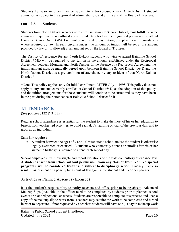Students 18 years or older may be subject to a background check. Out-of-District student admission is subject to the approval of administration, and ultimately of the Board of Trustees.

#### Out-of-State Students:

Students from North Dakota, who desire to enroll in Bainville School District, must fulfill the same admission requirement as outlined above. Students who have been granted permission to attend Bainville School District #64D will not be required to pay tuition; except in those circumstances where required by law. In such circumstances, the amount of tuition will be set at the amount provided by law or (if allowed) at an amount set by the Board of Trustees.

The District of residence for any North Dakota students who wish to attend Bainville School District #64D will be required to pay tuition in the amount established under the Reciprocal Agreement between Montana and North Dakota. In the absence of a Reciprocal Agreement, the tuition amount must be mutually agreed upon between Bainville School District #64D and the North Dakota District as a pre-condition of attendance by any resident of that North Dakota District.\*

\*Note: This policy applies only for initial enrollment AFTER July 1, 1998. This policy does not apply to any students currently enrolled at School District #64D, as the adoption of this policy and the tuition arrangements for those students will continue to be structured as they have been in the past during their attendance at Bainville School District #64D.

## <span id="page-9-0"></span>**ATTENDANCE**

(See policies 3122 & 3122P)

Regular school attendance is essential for the student to make the most of his or her education to benefit from teacher-led activities, to build each day's learning on that of the previous day, and to grow as an individual.

State law requires:

• A student between the ages of 7 and 16 **must** attend school unless the student is otherwise legally exempted or excused. A student who voluntarily attends or enrolls after his or her sixteenth birthday is required to attend each school day.

School employees must investigate and report violations of the state compulsory attendance law. **A student absent from school without permission, from any class or from required special programs, will be considered truant and subject to disciplinary action.** Truancy may also result in assessment of a penalty by a court of law against the student and his or her parents.

## Activities or Planned Absences (Excused)

It is the student's responsibility to notify teachers and office prior to being absent. Advanced Makeup Slips (available in the office) need to be completed by students prior to planned school events or planned personal absences. Students are responsible to complete this process and keep a copy of the makeup slip to work from. Teachers may require the work to be completed and turned in prior to departure. If not requested by a teacher, students will have one (1) day to make up work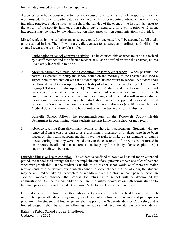for each day missed plus one (1) day, upon return.

Absences for school-sponsored activities are excused, but students are held responsible for the work missed. In order to participate in an extracurricular or competitive intra-curricular activity, including practice, students must be in school the full day of the event or the last full day prior to the activity if the activity falls on a non-school day or departure for event is prior to 12 noon. Exceptions may be made by the administration when prior written communication is provided.

Missed work assignments during any absence, excused or unexcused, will be accepted at full credit unless turned in late. The following are valid excuses for absence and tardiness and will not be counted toward the ten (10) day/class rule:

- 1. Participation in school-approved activity To be excused, this absence must be authorized by a staff member and the affected teacher(s) must be notified prior to the absence, unless it is clearly impossible to do so.
- 2. Absence caused by illness, health condition, or family emergency When possible, the parent is expected to notify the school office on the morning of the absence and send a signed note of explanation with the student upon his/her return to school. A student shall be allowed **one (1) makeup day for each day of absence plus one (1) day. (Ex.: miss 2 days-get 3 days to make up work).** "Emergency" shall be defined as unforeseen and unexpected circumstances which create an air of crisis or extreme need. Such circumstances must present a grave and clear danger which could result in irremediable harm or immediate disaster. Days where students absences are supported by a valid medical professional's note will not count toward the 10 days of absences (see 10 day rule below). Medical documentation needs to be submitted within two weeks of the absence.

Bainville School follows the recommendations of the Roosevelt County Health Department in determining when students are sent home from school or may return.

3. Absence resulting from disciplinary actions or short-term suspension - Students who are removed from a class or classes as a disciplinary measure, or students who have been placed on short-term suspension, shall have the right to make up assignments or exams missed during time they were denied entry to the classroom. If the work is not turned in on or before the allotted due date (one (1) makeup day for each day of absence plus one (1) day) no credit will be issued.

Extended illness or health condition - If a student is confined to home or hospital for an extended period, the school shall arrange for the accomplishment of assignments at the place of confinement whenever practicable. If the student is unable to do his/her schoolwork, or if there are major requirements of a particular course which cannot be accomplished outside of class, the student may be required to take an incomplete or withdraw from the class without penalty. After an extended medical absence, the process for returning to school will be determined by administration. It is the responsibility of the parent to initiate conversation with administration to facilitate process prior to the student's return. A doctor's release may be required.

Excused absence for chronic health condition - Students with a chronic health condition which interrupts regular attendance may qualify for placement in a limited attendance and participation program. The student and his/her parent shall apply to the Superintendent or Counselor, and a limited program shall be written following the advice and recommendations of the student's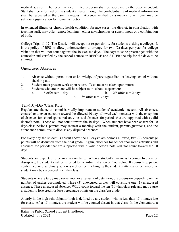medical advisor. The recommended limited program shall be approved by the Superintendent. Staff shall be informed of the student's needs, though the confidentiality of medical information shall be respected at the parent's request. Absence verified by a medical practitioner may be sufficient justification for home instruction.

In extended illness or chronic health condition absence cases, the district, in consultation with teaching staff, may offer remote learning—either asynchronous or synchronous or a combination of both.

College Trips 11-12 The District will accept not responsibility for students visiting a college. It is the policy of BPS to allow juniors/seniors to arrange for two (2) days per year for college visitation that will not count against the 10 excused days. The days must be prearranged with the counselor and verified by the school counselor BEFORE and AFTER the trip for the days to be allowed.

#### Unexcused Absences

- 1. Absence without permission or knowledge of parent/guardian, or leaving school without checking out.
- 2. Student must present work upon return. Tests must be taken upon return.
- 3. Students who are truant will be subject to in-school suspension:
	- a.  $1<sup>st</sup>$  offense = 1 day b.  $2<sup>nd</sup>$  offense = 2 days c.  $3<sup>rd</sup>$  offense = 3 days

## Ten-(10)-Day/Class Rule

Regular attendance at school is vitally important to students' academic success. All absences, excused or unexcused count toward the allowed 10 days allowed each semester with the exception of absences for school sponsored activities and absences for periods that are supported with a valid doctor's note. Those will not count toward the 10 days. When students have been absent for 10 days/class periods, parents may request a meeting with the student, parents/guardians, and the attendance committee to discuss any disputed absences.

For every day the student is absent above the 10 days/class periods allowed, two (2) percentage points will be deducted from the final grade. Again, absences for school sponsored activities and absences for periods that are supported with a valid doctor's note will not count toward the 10 days.

Students are expected to be in class on time. When a student's tardiness becomes frequent or disruptive, the student shall be referred to the Administration or Counselor. If counseling, parent conference, or disciplinary action is ineffective in changing the student's attendance behavior, the student may be suspended from the class.

Students who are tardy may serve noon or after-school detention, or suspension depending on the number of tardies accumulated. Three (3) unexcused tardies will constitute one (1) unexcused absence. These unexcused absences WILL count toward the ten (10) day/class rule and may cause a student to lose credit or lose percentage points on the class(es) grade.

A tardy in the high school/junior high is defined by any student who is less than 15 minutes late for class. After 15 minutes, the student will be counted absent in that class. In the elementary, a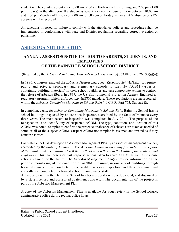student will be counted absent after 10:00 am (9:00 am Fridays) in the morning, and 2:00 pm (1:00 pm Fridays) in the afternoon. If a student is absent for two (2) hours or more between 10:00 am and 2:00 pm Monday –Thursday or 9:00 am to 1:00 pm on Friday, either an AM absence or a PM absence will be recorded.

All sanctions imposed for failure to comply with the attendance policies and procedures shall be implemented in conformance with state and District regulations regarding corrective action or punishment.

## <span id="page-12-0"></span>**ASBESTOS NOTIFICATION**

## **ANNUAL ASBESTOS NOTIFICATION TO PARENTS, STUDENTS, AND EMPLOYEES OF THE BAINVILLE SCHOOL/SCHOOL DISTRICT**

(Required by the *Asbestos-Containing Materials in Schools Rule,* §§ 763.84(c) and 763.93(g)(4))

In 1986, Congress enacted the *Asbestos Hazard emergency Response Act (AHERA)* to require public and private, secondary and elementary schools to identify ACBM (asbestos containing building materials) in their school buildings and take appropriate actions to control the release of asbestos fibers. In *1987,* the US Environmental Protection Agency finalized a regulatory program which enforces *the AHERA* mandate. These regulations are incorporated within the *Asbestos-Containing Materials in Schools* Rule (40 C.F.R. Part 763, Subpart E).

In compliance *with the Asbestos-Containing Materials in Schools Rule*, Bainville School has its school buildings inspected by an asbestos inspector, accredited by the State of Montana every three years. The most recent re-inspection was completed in July 2011. The purpose of the reinspection is to identify any of suspected ACBM. The type, condition, and location of this ACBM was noted. Samples to confirm the presence or absence of asbestos are taken as needed of some or all of the suspect ACBM. Suspect ACBM not sampled is assumed and treated as if they contain asbestos.

Bainville School has developed an Asbestos Management Plan by an asbestos management planner, accredited by the *State of Montana. The Asbestos Management Plan(s) includes a description of the maintained in condition ACBM that will not pose a threat to the health of our students and employees.* This Plan describes past response actions taken to abate ACBM, as well as response actions planned for the future*.* The Asbestos Management Plan(s) provide information on the periodic monitoring of the condition of ACBM remaining in our school buildings through triennial reinspections, conducted by accredited asbestos inspectors, and through semiannual surveillance, conducted by trained school maintenance staff.

All asbestos within the Bainville School has been properly removed, capped, and disposed of by a state licensed and accredited abatement contractor. The documentation of the project is part of the Asbestos Management Plan.

A copy of the Asbestos Management Plan is available for your review in the School District administrative office during regular office hours.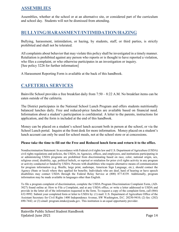## <span id="page-13-0"></span>**ASSEMBLIES**

Assemblies, whether at the school or at an alternative site, or considered part of the curriculum and school day. Students will not be dismissed from attending.

## <span id="page-13-1"></span>**BULLYING/HARASSMENT/INTIMIDATION/HAZING**

Bullying, harassment, intimidation, or hazing, by students, staff, or third parties, is strictly prohibited and shall not be tolerated.

All complaints about behavior that may violate this policy shall be investigated in a timely manner. Retaliation is prohibited against any person who reports or is thought to have reported a violation, who files a complaint, or who otherwise participates in an investigation or inquiry. [See policy 3226 for further information]

<span id="page-13-2"></span>A Harassment Reporting Form is available at the back of this handbook.

# **CAFETERIA SERVICES**

Bainville School provides a free breakfast daily from 7:50 – 8:22 A.M. No breakfast items can be eaten outside of the cafeteria.

The District participates in the National School Lunch Program and offers students nutritionally balanced lunches daily. Free and reduced-price lunches are available based on financial need. Information about a student's participation is confidential. A letter to the parents, instructions for application, and the form is included at the end of this handbook.

Money can be placed on a student's school lunch account both in person at the school, or via the School Lunch portal. Inquire at the front desk for more information. Money placed on a student's lunch account can only be used for school meals, not at the school store or at concessions.

#### **Please take the time to fill out the Free and Reduced lunch form and return it to the office.**

Nondiscrimination Statement: In accordance with Federal civil rights law and U.S. Department of Agriculture (USDA) civil rights regulations and policies, the USDA, its Agencies, offices, and employees, and institutions participating in or administering USDA programs are prohibited from discriminating based on race, color, national origin, sex, religious creed, disability, age, political beliefs, or reprisal or retaliation for prior civil rights activity in any program or activity conducted or funded by USDA. Persons with disabilities who require alternative means of communication for program information (e.g. Braille, large print, audiotape, American Sign Language, etc.), should contact the Agency (State or local) where they applied for benefits. Individuals who are deaf, hard of hearing or have speech disabilities may contact USDA through the Federal Relay Service at (800) 877-8339. Additionally, program information may be made available in languages other than English.

To file a program complaint of discrimination, complete the USDA Program Discrimination Complaint Form, (AD-3027) found online at: How to File a Complaint, and at any USDA office, or write a letter addressed to USDA and provide in the letter all of the information requested in the form. To request a copy of the complaint form, call (866) 632-9992. Submit your completed form or letter to USDA by: (1) mail: U.S. Department of Agriculture Office of the Assistant Secretary for Civil Rights 1400 Independence Avenue, SW Washington, D.C. 20250-9410; (2) fax: (202) 690-7442; or (3) email: program.intake@usda.gov. This institution is an equal opportunity provider.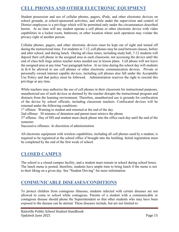## <span id="page-14-0"></span>**CELL PHONES AND OTHER ELECTRONIC EQUIPMENT**

Student possession and use of cellular phones, pagers, iPods, and other electronic devices on school grounds, at school-sponsored activities, and while under the supervision and control of District employees is a privilege which will be permitted only under the circumstances described herein. At no time will any student operate a cell phone or other electronic device with video capabilities in a locker room, bathroom, or other location where such operation may violate the privacy right of another person.

Cellular phones, pagers, and other electronic devices must be kept out of sight and turned off during the instructional time. For students in 7-12, cell phones may be used between classes, before and after school, and during lunch. During all class times, including study hall, 7-12 students will deposit their cell phone in the assigned area in each classroom, not accessing the device until the end of class bell rings unless teacher notes needed use in lesson plans. Cell phone will not leave the assigned area at any time \*see paragraph below. At no time during the school day will students in K-6 be allowed to use cell phones or other electronic communication devices. Private or personally owned internet capable devices, including cell phones also fall under the Acceptable Use Policy and that policy must be followed. Administration reserves the right to rescind this privilege at any time.

While teachers may authorize the use of cell phones in their classroom for instructional purposes, unauthorized use of such devices as deemed by the teacher disrupts the instructional program and distracts from the learning environment. Therefore, unauthorized use is grounds for confiscation of the device by school officials, including classroom teachers. Confiscated devices will be returned under the following conditions:

1<sup>st</sup> offense: Warning to student and returned at the end of the day

2nd offense: 30 minutes of detention and parent must retrieve the phone

 $3<sup>rd</sup>$  offense: Day of ISS and student must check phone into the office each day until the end of the semester.

Successive offenses: At discretion of administration

All electronic equipment with wireless capabilities, including all cell phones used by a student, is required to be registered at the school office if brought into the building. Initial registration must be completed by the end of the first week of school.

## <span id="page-14-1"></span>**CLOSED CAMPUS**

The school is a closed campus facility, and a student must remain in school during school hours. The lunch menu is posted; therefore, students have ample time to bring lunch if the menu is not to their liking on a given day. See "Student Driving" for more information.

## <span id="page-14-2"></span>**COMMUNICABLE DISEASES/CONDITIONS**

To protect children from contagious illnesses, students infected with certain diseases are not allowed to come to school while contagious. Parents of a student with a communicable or contagious disease should phone the Superintendent so that other students who may have been exposed to the disease can be alerted. These diseases include, but are not limited to: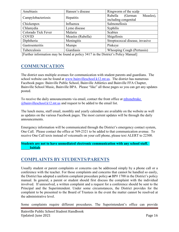| Amebiasis           | Hansen's disease  | Ringworm of the scalp           |
|---------------------|-------------------|---------------------------------|
|                     | Hepatitis         | Measles),<br>Rubella<br>(German |
| Campylobacteriosis  |                   | including congenital            |
| Chickenpox          | Influenza         | Salmonellosis                   |
| Chlamydia           | Lyme disease      | Syphilis                        |
| Colorado Tick Fever | Malaria           | <b>Scabies</b>                  |
| <b>COVID</b>        | Measles (Rubella) | Shigellosis                     |
| Diphtheria          | Meningitis        | Streptococcal disease, invasive |
| Gastroenteritis     | <b>Mumps</b>      | Pinkeye                         |
| Tuberculosis        | Giardiasis        | Whooping Cough (Pertussis)      |

<span id="page-15-0"></span>[Further information may be found at policy 3417 in the District's Policy Manual]

## **COMMUNICATION**

The district uses multiple avenues for communication with student parents and guardians. The school website can be found at [www.bainvilleschool.k12.mt.us.](http://www.bainvilleschool.k12.mt.us/) The district has numerous Facebook pages: Bainville Public School, Bainville Athletics and Bainville FFA Chapter, Bainville School Music, Bainville BPA. Please "like" all those pages so you can get any updates posted.

To receive the daily announcements via email, contact the front office at [mbonebrake](mailto:lgable@bainvilleschool.k12.mt.us)   $@bainville school.k12.mt.us$  and request to be added to the email list.

The lunch menu, staff email, monthly and yearly calendars are available on the website as well as updates on the various Facebook pages. The most current updates will be through the daily announcements.

Emergency information will be communicated through the District's emergency contact system, One Call. Please contact the office at 769-2321 to be added to that communication avenue. To receive One Call texts instead of voicemails on your cell phone, please text ALERT to 22300.

**Students are not to have unmediated electronic communication with any school staff. \_\_\_\_\_Initials**

## <span id="page-15-1"></span>**COMPLAINTS BY STUDENTS/PARENTS**

Usually student or parent complaints or concerns can be addressed simply by a phone call or a conference with the teacher. For those complaints and concerns that cannot be handled so easily, the District has adopted a uniform complaint procedure policy at BP# 1700 in the District's policy manual. In general, a parent or student should first discuss the complaint with the individual involved. If unresolved, a written complaint and a request for a conference should be sent to the Principal and the Superintendent. Under some circumstances, the District provides for the complaint to be presented to the Board of Trustees in the event the matter cannot be resolved at the administrative level.

Some complaints require different procedures. The Superintendent's office can provide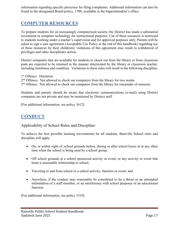information regarding specific processes for filing complaints. Additional information can also be found in the designated Board policy, 1700, available in the Superintendent's office.

## <span id="page-16-0"></span>**COMPUTER RESOURCES**

To prepare students for an increasingly computerized society, the District has made a substantial investment in computer technology for instructional purposes. Use of these resources is restricted to students working under a teacher's supervision and for approved purposes only. Parents will be asked to sign a user agreement (Acceptable Use Policy at the end of this handbook) regarding use of these resources by their child(ren); violations of this agreement may result in withdrawal of privileges and other disciplinary action.

District computers that are available for students to check out from the library or from classroom pods are expected to be returned in the manner determined by the library or classroom teacher, including timeliness and condition. Violations to these rules will result in the following discipline:

1<sup>st</sup> Offence: Detention 2<sup>nd</sup> Offence: Not allowed to check out computers from the library for two weeks  $3<sup>rd</sup>$  Offence: Not allowed to check out computers from the library for remainder of semester

Students and parents should be aware that electronic communications (e-mail) using District computers are not private and may be monitored by District staff.

<span id="page-16-1"></span>[For additional information, see policy 3612]

# **CONDUCT**

Applicability of School Rules and Discipline:

To achieve the best possible learning environment for all students, Bainville School rules and discipline will apply

- On, or within sight of, school grounds before, during or after school hours or at any other time when the school is being used by a school group;
- Off school grounds at a school sponsored activity or event, or any activity or event that bears a reasonable relationship to school;
- Traveling to and from school or a school activity, function or event; and
- Anywhere, if the conduct may reasonably be considered to be a threat or an attempted intimidation of a staff member, or an interference with school purposes of an educational function.

[For additional information, see policy 3310]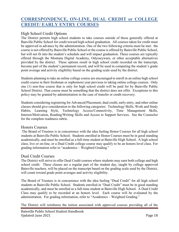## <span id="page-17-0"></span>**CORRESPONDENCE, ON-LINE, DUAL CREDIT or COLLEGE CREDIT/ EARLY ENTRY COURSES**

## High School Credit Options

The District permits high school students to take courses outside of those generally offered at Banville Public School for credit toward high school graduation. All courses taken for credit must be approved in advance by the administration. One of the two following criteria must be met: the course is not offered by Bainville Public School or the course is offered by Bainville Public School, but will not fit into the student's schedule and will impact graduation. These courses are typically offered through the Montana Digital Academy, Odysseyware, or other acceptable alternatives provided by the district. These options result in high school credit recorded on the transcript, become part of the student's permanent record, and will be used in computing the student's grade point average and activity eligibility based on the grading scale used by the district.

Students planning to take an online college course are encouraged to enroll in an online high school credit course in their freshman or sophomore year previous to taking online college courses. Only one (1) non-free course that is only for high school credit will be paid for by Bainville Public School District. That course must be something that the district does not offer. Exceptions to this policy may be granted by administration in the case of transfer or credit recovery.

Students considering registering for Advanced Placement, dual credit, early entry, and other online classes should give consideration to the following categories: Technology Skills, Work and Study Habits, Learning Style, Technology Access/Connectivity, Time Management Skills, Interest/Motivation, Reading/Writing Skills and Access to Support Services. See the Counselor for the complete readiness rubric.

#### Honors Courses

The Board of Trustees is in concurrence with the idea fueling Honor Courses for all high school students at Bainville Public School. Students enrolled in Honor Courses must be in good standing academically, and must be enrolled as a full-time student at Bainville High School. A high school class, live or on-line, or a Dual Credit college course may qualify to be an honors level class. For grading information refer to "academics – Weighted Grading."

#### Dual Credit Courses

The District will strive to offer Dual Credit courses where students may earn both college and high school credit. These classes are a regular part of the student day, taught by college approved Bainville teachers, will be placed on the transcript based on the grading scale used by the District, will count toward grade point averages and activity eligibility.

The Board of Trustees is in concurrence with the idea fueling "Dual Credit" for all high school students at Bainville Public School. Students enrolled in "Dual Credit" must be in good standing academically, and must be enrolled as a full-time student at Bainville High School. A Dual Credit Class may qualify to be recorded at an honors level. Each course will be evaluated by the administration. For grading information, refer to "Academics – Weighted Grading."

The District will reimburse the tuition associated with approved courses providing all of the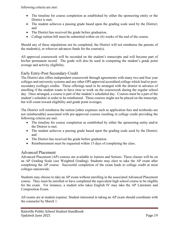following criteria are met:

- The timeline for course completion as established by either the sponsoring entity or the District is met:
- The student achieves a passing grade based upon the grading scale used by the District; and
- The District has received the grade before graduation.
- College tuition bill must be submitted within six (6) weeks of the end of the course.

Should any of these stipulations not be completed, the District will not reimburse the parents of the student(s), or whoever advances funds for the course(s).

All approved coursework will be recorded on the student's transcripts and will become part of his/her permanent record. The grade will also be used in computing the student's grade point average and activity eligibility.

## Early Entry-Post Secondary Credit

The District also offers independent coursework through agreements with many two and four year colleges and university systems and any other OPI approved accredited college which lead to postsecondary (college) credits. These offerings need to be arranged with the district in advance of enrolling if the student wants to have time to work on the coursework during the regular school day. Once arranged, a course is part of the student's scheduled day. Courses must be a part of the student's schedule in order to be reimbursed. These courses might not be placed on the transcript, but will count toward eligibility and grade point averages.

The District will reimburse the tuition [other expenses such as application fees and textbooks are not reimbursable] associated with pre-approved courses resulting in college credit providing the following criteria are met:

- The timeline for course completion as established by either the sponsoring entity and/or the District is met.
- The student achieves a passing grade based upon the grading scale used by the District; and
- The District has received the grade before graduation.
- Reimbursement must be requested within 15 days of completing the class.

## Advanced Placement

Advanced Placement (AP) courses are available to Juniors and Seniors. These classes will be on an AP Grading Scale (see Weighted Grading). Students may elect to take the AP exam after completing the AP course. Successful completion of the exam leads to college credit at most colleges nationwide.

Students may choose to take an AP exam without enrolling in the associated Advanced Placement course. They must be enrolled or have completed the equivalent high school course to be eligible for the exam. For instance, a student who takes English IV may take the AP Literature and Composition Exam.

All exams are at student expense. Student interested in taking an AP exam should coordinate with the counselor by March 1.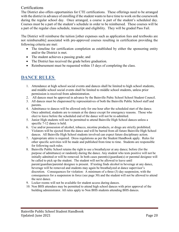## Certifications

The District also offers opportunities for CTE certifications. These offerings need to be arranged with the district in advance of enrolling if the student wants to have time to work on the coursework during the regular school day. Once arranged, a course is part of the student's scheduled day. Courses must be a part of the student's schedule in order to be reimbursed. These courses will be a part of the regular class schedule, transcript and eligibility. They will be graded Pass Fail.

The District will reimburse the tuition [other expenses such as application fees and textbooks are not reimbursable] associated with pre-approved courses resulting in certification providing the following criteria are met:

- The timeline for certification completion as established by either the sponsoring entity and/or the District is met.
- The student achieves a passing grade; and
- The District has received the grade before graduation.
- <span id="page-19-0"></span>• Reimbursement must be requested within 15 days of completing the class.

## **DANCE RULES**

- 1. Attendance at high school social events and dances shall be limited to high school students, and middle school social events shall be limited to middle school students, unless prior permission is received from administration.
- 2. All dances must be approved in advance by the Bainville Pubic School School Student Council.
- 3. All dances must be chaperoned by representatives of both the Bainville Public School staff and parents.
- 4. Admittance to dances will be allowed only for one hour after the scheduled start of the dance. Once admitted, students are to remain at the dance except for emergency reasons. Those who elect to leave before the scheduled end of the dance will not be re-admitted.
- 5. Junior High students will not be permitted to attend Bainville High School dances unless a specific 7-12 dance is held.
- 6. Use and/or possession of alcohol, tobacco, nicotine products, or drugs are strictly prohibited. Violators will be ejected from the dance and will be barred from all future Bainville High School dances. All Bainville High School students involved can expect future disciplinary action.
- 7. Appropriate attire is required. Dress regulations as per the Student Handbook apply. Rules for other specific activities will be made and published from time to time. Students are responsible for following such rules.
- 8. Bainville Public School retains the right to use a breathalyzer at any dance; before (for the purpose of admittance) or randomly during the dance. Any student who tests positive will not be initially admitted or will be removed. In both cases parent(s)/guardian(s) or parental designee will be called to pick up the student. The student will not be allowed to leave until parent/guardian/parental designee is present. If testing finds alcohol in beverage at any dance, beverage will be removed and students may again be breathalyzed at dance supervisor's discretion. Consequences for violation: A minimum of a three (3) day suspension, with the consequences for a suspension in force (see page 30) and the student will not be allowed to attend the next dance.
- 9. Locker rooms will not be available for student access during dances.
- 10. Non BHS attendees may be permitted to attend high school dances with prior approval of the building administrator. All rules apply to Non BHS students attending BHS dances.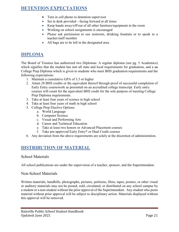## <span id="page-20-0"></span>**DETENTION EXPECTATIONS**

- Turn in cell phone to detention supervisor
- Set in desk provided—facing forward at all times
- Keep hands away/off/out of all other furniture/equipment in the room
- Working on school assignments is encouraged
- Please ask permission to use restroom, drinking fountain or to speak to a teacher/staff member
- All bags are to be left in the designated area.

## <span id="page-20-1"></span>**DIPLOMA**

The Board of Trustees has authorized two Diplomas: A regular diploma (see pg. 5 Academics) which signifies that the student has met all state and local requirements for graduation, and a an College Prep Diploma which is given to students who meet BHS graduation requirements and the following expectations:

- 1. Maintain a cumulative GPA of 3.5 or higher
- 2. Attain 28 BHS credits or the equivalent thereof through proof of successful completion of Early Entry coursework as presented on an accredited college transcript. Early entry courses will count for the equivalent BHS credit for the sole purpose of meeting College Prep Diploma requirements.
- 3. Take at least four years of science in high school
- 4. Take at least four years of math in high school
- 5. College Prep Elective Options:
	- a. World Language
	- b. Computer Science
	- c. Visual and Performing Arts
	- d. Career and Technical Education
	- e. Take at least two honors or Advanced Placement courses
	- f. Take pre-approved Early Entry\* or Dual Credit courses
- <span id="page-20-2"></span>6. Any deviation from the above requirements are solely at the discretion of administration.

## **DISTRIBUTION OF MATERIAL**

#### School Materials

All school publications are under the supervision of a teacher, sponsor, and the Superintendent.

#### Non-School Materials

Written materials, handbills, photographs, pictures, petitions, films, tapes, posters, or other visual or auditory materials may not be posted, sold, circulated, or distributed on any school campus by a student or a non-student without the prior approval of the Superintendent. Any student who posts material without prior approval will be subject to disciplinary action. Materials displayed without this approval will be removed.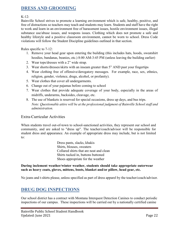## <span id="page-21-0"></span>**DRESS AND GROOMING**

#### $K-12$ :

Bainville School strives to promote a learning environment which is safe, healthy, positive, and free of distractions so teachers may teach and students may learn. Students and staff have the right to work and learn in an environment free of harassment issues, hostile environment issues, illegal substance use/abuse issues, and weapons issues. Clothing which does not promote a safe and healthy lifestyle and a positive classroom environment, cannot be worn to school. Dress Code violations will follow the Student Discipline guidelines outlined in that section.

Rules specific to 7-12:

- 1. Remove your head gear upon entering the building (this includes hats, hoods, sweatshirt hoodies, bandanas, beanies, etc.) 8:00 AM-3:45 PM (unless leaving the building earlier)
- 2. Wear tops/dresses with a 2" wide strap.
- 3. Wear shorts/dresses/skirts with an inseam greater than 5" AND past your fingertips
- 4. Wear clothing free of offensive/derogatory messages. For example, race, sex, ethnics, religion, gender, violence, drugs, alcohol, or profanity).
- 5. Wear clothes that cover all undergarments.
- 6. Change out of your pajamas before coming to school
- 7. Wear clothes that provide adequate coverage of your body, especially in the areas of midriffs, underarms, backsides, cleavage, etc.
- 8. The use of blankets is reserved for special occasions, dress up days, and bus trips. *Note: Questionable attire will be at the professional judgment of Bainville School staff and administration.*

#### Extra-Curricular Activities

When students travel out-of-town to school-sanctioned activities, they represent our school and community, and are asked to "dress up". The teacher/coach/advisor will be responsible for student dress and appearance. An example of appropriate dress may include, but is not limited to:

> Dress pants, slacks, khakis Shirts, blouses, sweaters Collared shirts that are neat and clean Shirts tucked in, buttons buttoned Shoes appropriate for the weather

#### **During inclement weather/winter weather, students should take appropriate outerwear such as heavy coats, gloves, mittens, boots, blanket and/or pillow, head gear, etc.**

<span id="page-21-1"></span>No jeans and t-shirts please, unless specified as part of dress apparel by the teacher/coach/advisor.

# **DRUG DOG INSPECTIONS**

Our school district has a contract with Montana Interquest Detection Canines to conduct periodic inspections of our campus. These inspections will be carried out by a nationally certified canine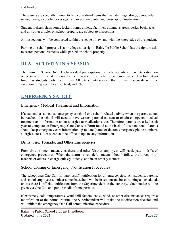and handler.

These units are specially trained to find contraband items that include illegal drugs, gunpowder related items, alcoholic beverages, and over-the-counter and prescription medication.

Student lockers, classrooms, locker rooms, athletic facilities, commons areas, desks, backpacks and any other articles on school property are subject to inspections.

All inspections will be conducted within the scope of law and with the knowledge of the student.

Parking on school property is a privilege not a right. Bainville Public School has the right to ask to search personal vehicles while parked on school property.

# <span id="page-22-0"></span>**DUAL ACTIVITY IN A SEASON**

The Bainville School District believes dual participation in athletic activities often puts a strain on other areas of the student's involvement (academic, athletic, social/emotional). Therefore, at no time may students participate in dual MHSA activity seasons that run simultaneously with the exception of Speech, Drama, Band, and Choir.

# <span id="page-22-1"></span>**EMERGENCY SAFETY**

## Emergency Medical Treatment and Information

If a student has a medical emergency at school or a school-related activity when the parent cannot be reached, the school will need to have written parental consent to obtain emergency medical treatment and information about allergies to medications, etc. Therefore, parents are asked each year to complete an Emergency Care Consent Form found at the back of this handbook. Parents should keep emergency care information up to date (name of doctor, emergency phone numbers, allergies, etc.). Please contact the office to update any information.

## Drills: Fire, Tornado, and Other Emergencies

From time to time, students, teachers, and other District employees will participate in drills of emergency procedures. When the alarm is sounded, students should follow the direction of teachers or others in charge quickly, quietly, and in an orderly manner.

## School Closing or Emergency Notification Procedures

The school uses One Call for parent/staff notification for all emergencies. All students, parents, and school employees should assume that school will be in session and buses running as scheduled, unless there is official notification from the Superintendent to the contrary. Such notice will be given via One Call and public media if time permits.

If extremely cold temperatures, wind chill factors, snow, wind, or other circumstances require a modification of the normal routine, the Superintendent will make the modification decision and will initiate the emergency One Call communication procedure.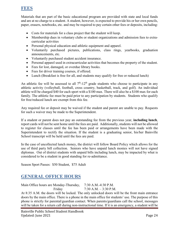## <span id="page-23-0"></span>**FEES**

Materials that are part of the basic educational program are provided with state and local funds and are at no charge to a student. A student, however, is expected to provide his or her own pencils, paper, erasers, notebooks, etc. and may be required to pay certain other fees or deposits, including:

- Costs for materials for a class project that the student will keep.
- Membership dues in voluntary clubs or student organizations and admission fees to extracurricular activities
- Personal physical education and athletic equipment and apparel.
- Voluntarily purchased pictures, publications, class rings, yearbooks, graduation announcements, etc.
- Voluntarily purchased student accident insurance.
- Personal apparel used in extracurricular activities that becomes the property of the student.
- Fees for lost, damaged, or overdue library books.
- Fees for driver training courses, if offered.
- Lunch (Breakfast is free for all, and students may qualify for free or reduced lunch)

An athletic fee will be assessed to all  $7<sup>th</sup>$ -12<sup>th</sup> grade students who choose to participate in any athletic activity (volleyball, football, cross country, basketball, track, and golf). An individual athlete will be charged \$40 for each sport with a \$100 max. There will also be a \$100 max for each family. The athletic fee must be paid prior to any participation by students. Students who qualify for free/reduced lunch are exempt from this fee.

Any required fee or deposit may be waived if the student and parent are unable to pay. Requests for such a waiver may be made to the Superintendent.

If a student or parent does not pay an outstanding fee from the previous year, **including lunch**, report cards will not be sent home until the fees are paid. Additionally, students will not be allowed to register for classes until the fee has been paid or arrangements have been made with the Superintendent to rectify the situation. If the student is a graduating senior, his/her Bainville School transcript will be held until the fees are paid.

In the case of uncollected lunch money, the district will follow Board Policy which allows for the use of third party bill collection. Seniors who have unpaid lunch monies will not have signed diplomas. Out of district students with unpaid bills including lunch, may be impacted by what is considered to be a student in good standing for re-admittance.

<span id="page-23-1"></span>Season Sport Passes: \$50 Student, \$75 Adult

## **GENERAL OFFICE HOURS**

Main Office hours are Monday-Thursday, 7:30 A.M.-4:30 P.M. Friday 7:30 A.M. – 3:30 P.M. At 8:35 A.M. the doors will be locked. The only unlocked doors will be the front main entrance doors by the main office. There is a phone in the main office for students' use. The purpose of this phone is strictly for parental/guardian contact. When parents/guardians call the school, messages will be taken for a return call during non-instructional time. If it is an emergency, a student will be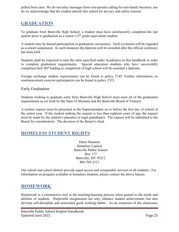pulled from class. We do not relay messages from non-parents calling for non-family business, nor do we acknowledge that the student attends this school for privacy and safety reasons.

## <span id="page-24-0"></span>**GRADUATION**

To graduate from Bainville High School, a student must have satisfactorily completed the last quarter prior to graduation as a senior  $(12<sup>th</sup>$  grade equivalent) student.

A student may be denied participation in graduation ceremonies. Such exclusion will be regarded as a school suspension. In such instances the diploma will be awarded after the official ceremony has been held.

Students shall be expected to earn the units specified under Academics in this handbook in order to complete graduation requirements. Special education students who have successfully completed their IEP leading to completion of high school will be awarded a diploma.

Foreign exchange student requirements can be found in policy 3145. Further information on commencement exercise participation can be found in policy 2333.

#### Early Graduation

Students wishing to graduate early from Bainville High School must meet all of the graduation requirements as set forth by the State of Montana and the Bainville Board of Trustees.

A written request must be presented to the Superintendent on or before the first day of school of the senior year. If the student making the request is less than eighteen years of age, the request must be made by the student's parent(s) or legal guardian(s). The request will be submitted to the Board for consideration. The decision of the Board is final.

## <span id="page-24-1"></span>**HOMELESS STUDENT RIGHTS**

Darin Hannum Homeless Liaison Bainville Public School Box 177 Bainville, MT 59212 406-769-2321

Our school and school district provide equal access and comparable services to all students. For information on program available to homeless students, please contact the above liaison.

## <span id="page-24-2"></span>**HOMEWORK**

Homework is a constructive tool in the teaching/learning process when geared to the needs and abilities of students. Purposeful assignments not only enhance student achievement, but also develop self-discipline and associated good working habits. As an extension of the classroom,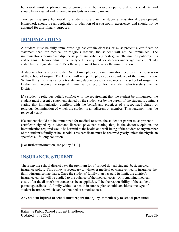homework must be planned and organized, must be viewed as purposeful to the students, and should be evaluated and returned to students in a timely manner.

Teachers may give homework to students to aid in the students' educational development. Homework should be an application or adaption of a classroom experience, and should not be assigned for disciplinary purposes.

## <span id="page-25-0"></span>**IMMUNIZATIONS**

A student must be fully immunized against certain diseases or must present a certificate or statement that, for medical or religious reasons, the student will not be immunized. The immunizations required are diphtheria, pertussis, rubella (measles), rubella, mumps, poliomyelitis and tetanus. Haemophilus influenza type B is required for students under age five (5). Newly added by the legislature in 2015 is the requirement for a varicella immunization.

A student who transfers into the District may photocopy immunization records in the possession of the school of origin. The District will accept the photocopy as evidence of the immunization. Within thirty (30) days after a transferring student ceases attendance at the school of origin, the District must receive the original immunization records for the student who transfers into the District.

If a student's religious beliefs conflict with the requirement that the student be immunized, the student must present a statement signed by the student (or by the parent, if the student is a minor) stating that immunization conflicts with the beliefs and practices of a recognized church or religious denomination of which the student is an adherent or member. This statement must be renewed yearly.

If a student should not be immunized for medical reasons, the student or parent must present a certificate signed by a Montana licensed physician stating that, in the doctor's opinion, the immunization required would be harmful to the health and well-being of the student or any member of the student's family or household. This certificate must be renewed yearly unless the physician specifies a life-long condition.

<span id="page-25-1"></span>[For further information, see policy 3413]

## **INSURANCE, STUDENT**

The Bainville school district pays the premium for a "school-day-all student" basic medical insurance policy. This policy is secondary to whatever medical or whatever health insurance the family/insurance may have. Once the students' family plan has paid its limit, the district's insurance carrier will be applied to the balance of the medical costs. All remaining medical costs, after the district's insurance has been applied, will be the responsibility of the student's parents/guardians. A family without a health insurance plan should consider some type of student insurance which can be obtained at a modest cost.

#### **Any student injured at school must report the injury immediately to school personnel**.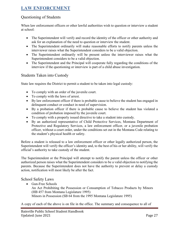# <span id="page-26-0"></span>**LAW ENFORCEMENT**

## Questioning of Students

When law enforcement officers or other lawful authorities wish to question or interview a student at school:

- The Superintendent will verify and record the identity of the officer or other authority and ask for an explanation of the need to question or interview the student.
- The Superintendent ordinarily will make reasonable efforts to notify parents unless the interviewer raises what the Superintendent considers to be a valid objection.
- The Superintendent ordinarily will be present unless the interviewer raises what the Superintendent considers to be a valid objection.
- The Superintendent and the Principal will cooperate fully regarding the conditions of the interview if the questioning or interview is part of a child abuse investigation.

#### Students Taken into Custody

State law requires the District to permit a student to be taken into legal custody:

- To comply with an order of the juvenile court.
- To comply with the laws of arrest.
- By law enforcement officer if there is probable cause to believe the student has engaged in delinquent conduct or conduct in need of supervision.
- By a probation officer if there is probable cause to believe the student has violated a condition of probation imposed by the juvenile court.
- To comply with a properly issued directive to take a student into custody.
- By an authorized representative of Child Protective Services, Montana Department of Protective and Regulatory Services, a law enforcement officer, or a juvenile probation officer, without a court order, under the conditions set out in the Montana Code relating to the student's physical health or safety.

Before a student is released to a law enforcement officer or other legally authorized person, the Superintendent will verify the officer's identity and, to the best of his or her ability, will verify the official's authority to take custody of the student.

The Superintendent or the Principal will attempt to notify the parent unless the officer or other authorized person raises what the Superintendent considers to be a valid objection to notifying the parents. Because the Superintendent does not have the authority to prevent or delay a custody action, notification will most likely be after the fact.

#### School Safety Laws

• Gun-Free Schools

An Act Prohibiting the Possession or Consumption of Tobacco Products by Minors (HB 457 from Montana Legislature 1995) Minors in Possession (SB 64 from the 1995 Montana Legislature 1995)

A copy of each of the above is on file in the office. The summary and consequence to all of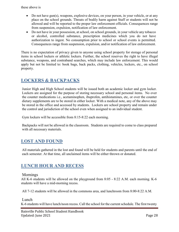- Do not have gun(s), weapons, explosive devices, on your person, in your vehicle, or at any place on the school grounds. Threats of bodily harm against Staff or students will not be allowed and will be reported to the proper law enforcement officials. Consequences range from suspension, expulsion, notification of law enforcement.
- Do not have in your possession, at school, on school grounds, in your vehicle any tobacco or alcohol, controlled substance, prescription medicines which you do not have authorization to ingest. No consumption prior to school or school events is permitted. Consequences range from suspension, expulsion, and/or notification of law enforcement.

There is no expectation of privacy given to anyone using school property for storage of personal items in school lockers or athletic lockers. Further, the school reserves the right to have illegal substance, weapons, and contraband searches, which may include law enforcement. This would apply but not be limited to: book bags, back packs, clothing, vehicles, lockers, etc., on school property.

## <span id="page-27-0"></span>**LOCKERS & BACKPACKS**

Junior High and High School students will be issued both an academic locker and gym locker. Lockers are assigned for the purpose of storing necessary school and personal items. No over the counter medications i.e., acetaminophen, ibuprofen, antihistamines, etc, or over the counter dietary supplements are to be stored in either locker. With a medical note, any of the above may be stored in the office and accessed by students. Lockers are school property and remain under the control and jurisdiction of the school even when assigned to an individual student.

Gym lockers will be accessible from 8:15-8:22 each morning.

Backpacks will not be allowed in the classroom. Students are required to come to class prepared with all necessary materials.

# <span id="page-27-1"></span>**LOST AND FOUND**

All materials gathered in the lost and found will be held for students and parents until the end of each semester. At that time, all unclaimed items will be either thrown or donated.

## <span id="page-27-2"></span>**LUNCH HOUR AND RECESS**

#### Mornings

All K-6 students will be allowed on the playground from 8:05 - 8:22 A.M. each morning. K-6 students will have a mid-morning recess.

All 7-12 students will be allowed in the commons area, and lunchroom from 8:00-8:22 A.M.

#### Lunch

K-6 students will have lunch/noon recess. Call the school for the current schedule. The first twenty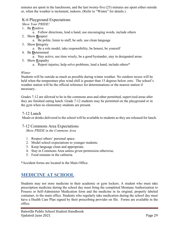minutes are spent in the lunchroom, and the last twenty-five (25) minutes are spent either outside or, when the weather is inclement, indoors. (Refer to "Winter" for details.)

## K-6 Playground Expectations

*Show Your PRIDE!*

- 1. Be **P**ositive
	- a. Follow directions, lend a hand, use encouraging words, include others
- 2. Show **R**espect
	- a. Be polite, listen to staff, be safe, use clean language
- 3. Show **I**ntegrity
	- a. Be a role model, take responsibility, be honest, be yourself
- 4. Be **D**etermined
	- a. Stay active, use time wisely, be a good bystander, stay in designated areas
- 5. Show **E**mpathy
	- a. Report injuries, help solve problems, lend a hand, include others\*

#### *Winter*

Students will be outside as much as possible during winter weather. No outdoor recess will be held when the temperature plus wind chill is greater than 15 degrees below zero. The school's weather station will be the official reference for determinations or the nearest station if necessary.

Grades 7-12 are allowed to be in the commons area and other permitted, supervised areas after they are finished eating lunch. Grade 7-12 students may be permitted on the playground or in the gym when no elementary students are present.

## 7-12 Lunch

Meals or drinks delivered to the school will be available to students as they are released for lunch.

## 7-12 Commons Area Expectations

*Show PRIDE in the Commons Area*

- 1. Respect others' personal space.
- 2. Model school expectations to younger students.
- 3. Keep language clean and appropriate.
- 4. Stay in Commons Area unless given permission otherwise.
- 5. Food remains in the cafeteria.

<span id="page-28-0"></span>\*Accident forms are located in the Main Office.

# **MEDICINE AT SCHOOL**

Students may not store medicine in their academic or gym lockers. A student who must take prescription medicine during the school day must bring the completed Montana Authorization to Possess or Self-Administer Medication form and the medicine in its original, properly labeled container, to the main office. Students who regularly take medication during the school day must have a Health Care Plan signed by their prescribing provider on file. Forms are available in the office.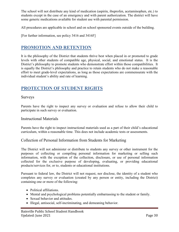The school will not distribute any kind of medication (aspirin, ibuprofen, acetaminophen, etc.) to students except in the case of an emergency and with parent authorization. The district will have some generic medications available for student use with parental permission.

All procedures are applicable in school and on school sponsored events outside of the building.

<span id="page-29-0"></span>[For further information, see policy 3416 and 3416F]

## **PROMOTION AND RETENTION**

It is the philosophy of the District that students thrive best when placed in or promoted to grade levels with other students of compatible age, physical, social, and emotional status. It is the District's philosophy to promote students who demonstrate effort within those compatibilities. It is equally the District's philosophy and practice to retain students who do not make a reasonable effort to meet grade-level expectations, as long as those expectations are commensurate with the individual student's ability and rate of learning.

## <span id="page-29-1"></span>**PROTECTION OF STUDENT RIGHTS**

#### Surveys

Parents have the right to inspect any survey or evaluation and refuse to allow their child to participate in such survey or evaluation.

#### Instructional Materials

Parents have the right to inspect instructional materials used as a part of their child's educational curriculum, within a reasonable time. This does not include academic tests or assessments.

## Collection of Personal Information from Students for Marketing

The District will not administer or distribute to students any survey or other instrument for the purposes of collecting or compiling personal information for marketing or selling such information, with the exception of the collection, disclosure, or use of personal information collected for the exclusive purpose of developing, evaluating, or providing educational products/services for, or to, students or educational institutions.

Pursuant to federal law, the District will not request, nor disclose, the identity of a student who completes any survey or evaluation (created by any person or entity, including the District) containing one or more of the following:

- Political affiliations.
- Mental and psychological problems potentially embarrassing to the student or family.
- Sexual behavior and attitudes.
- Illegal, antisocial, self-incriminating, and demeaning behavior.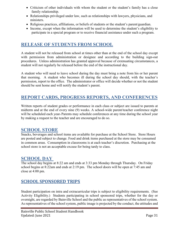- Criticism of other individuals with whom the student or the student's family has a close family relationship.
- Relationships privileged under law, such as relationships with lawyers, physicians, and ministers.
- Religious practices, affiliations, or beliefs of students or the student's parent/guardian.
- Income, except when the information will be used to determine the student's eligibility to participate in a special program or to receive financial assistance under such a program.

## <span id="page-30-0"></span>**RELEASE OF STUDENTS FROM SCHOOL**

A student will not be released from school at times other than at the end of the school day except with permission from administration or designee and according to the building sign-out procedures. Unless administration has granted approval because of extenuating circumstances, a student will not regularly be released before the end of the instructional day.

A student who will need to leave school during the day must bring a note from his or her parent that morning. A student who becomes ill during the school day should, with the teacher's permission, report to the office. The administrator or office will decide whether or not the student should be sent home and will notify the student's parent.

## <span id="page-30-1"></span>**REPORT CARDS, PROGRESS REPORTS, AND CONFERENCES**

Written reports of student grades or performance in each class or subject are issued to parents at midterm and at the end of every nine (9) weeks. A school-wide parent/teacher conference night will be scheduled each year. Parents may schedule conferences at any time during the school year by making a request to the teacher and are encouraged to do so.

## <span id="page-30-2"></span>**SCHOOL STORE**

Snacks, beverages and school items are available for purchase at the School Store. Store Hours are posted and subject to change. Food and drink items purchased at the store may be consumed in common areas. Consumption in classrooms is at each teacher's discretion. Purchasing at the school store is not an acceptable excuse for being tardy to class.

## <span id="page-30-3"></span>**SCHOOL DAY**

The school day begins at 8:22 am and ends at 3:33 pm Monday through Thursday. On Friday school begins at 8:22am and ends at 2:19 pm. The school doors will be open at 7:45 am and close at 4:00 pm.

## **SCHOOL SPONSORED TRIPS**

Student participation on intra and extracurricular trips is subject to eligibility requirements. (See Activity Eligibility.) Students participating in school sponsored trips, whether for the day or overnight, are regarded by Bainville School and the public as representatives of the school system. As representatives of the school system, public image is projected by the conduct, the attitudes and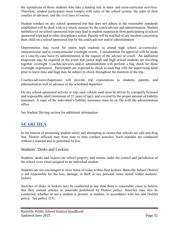the reputations of those students who take a leading role in intra- and extra-curricular activities. Therefore, student participants must comply with rules of the school system, the rules of their coaches or advisors, and the civil laws of society.

Student conduct on any school sponsored trip that does not adhere to the reasonable standards established will be dealt with in a timely manner by the coach/advisor and administration. Student misbehavior on school sponsored trips may lead to student suspension from participating in school sponsored trips and/or other disciplinary action. Parents will be notified of any incident concerning their child on a school sponsored trip by the coach/advisor and/or administration.

Opportunities may occur for junior high students to attend high school co-curricular, intracurricular and/or extracurricular overnight events. Consideration for approval will be made on a case-by-case basis by administration at the request of the advisor or coach. An additional chaperone may be required in the event that junior high and high school students are traveling together overnight. Coaches/advisors and/or administration will perform a bag check for these overnight experiences. Participants are expected to check in each bag with the supervising adult prior to leave time and bags may be subject to check throughout the duration of the trip.

Coaches/advisors/chaperones will provide trip expectations to students, parents, and administration well in advance of the scheduled departure.

On any school-sponsored activity or trip, each vehicle used must be driven by a properly licensed and responsible adult (minimum of 21 years of age), and covered by the proper amount of liability insurance. A copy of the individual's liability insurance must be on file with the administration office.

<span id="page-31-0"></span>See Student Driving section for additional information.

## **SEARCHES**

In the interest of promoting student safety and attempting to ensure that schools are safe and drug free, District officials may from time to time conduct searches. Such searches are conducted without a warrant and as permitted by law.

## Students' Desks and Lockers

Students' desks and lockers are school property and remain under the control and jurisdiction of the school even when assigned to an individual student.

Students are not encouraged to store items of value within their lockers. Bainville School District is not responsible for the loss, damage, or theft or any personal items stored within students' lockers.

Searches of desks or lockers may be conducted at any time there is reasonable cause to believe that they contain articles or materials prohibited by District policy. Searches may also be conducted, whether or not a student is present, at random, in accordance with law and District policy. See policy 3231.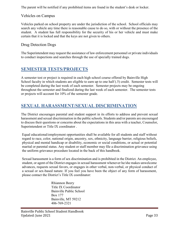The parent will be notified if any prohibited items are found in the student's desk or locker.

## Vehicles on Campus

Vehicles parked on school property are under the jurisdiction of the school. School officials may search any vehicle any time there is reasonable cause to do so, with or without the presence of the student. A student has full responsibility for the security of his or her vehicle and must make certain that it is locked and that the keys are not given to others.

## Drug Detection Dogs

The Superintendent may request the assistance of law enforcement personnel or private individuals to conduct inspections and searches through the use of specially trained dogs.

## <span id="page-32-0"></span>**SEMESTER TESTS/PROJECTS**

A semester test or project is required in each high school course offered by Bainville High School faculty in which students are eligible to earn up to one half (.5) credit. Semester tests will be completed during the last week of each semester. Semester projects may be ongoing throughout the semester and finalized during the last week of each semester. The semester tests or projects will account for 10% of the semester grade.

## <span id="page-32-1"></span>**SEXUAL HARASSMENT/SEXUAL DISCRIMINATION**

The District encourages parental and student support in its efforts to address and prevent sexual harassment and sexual discrimination in the public schools. Students and/or parents are encouraged to discuss their questions or concerns about the expectations in this area with a teacher, Counselor, Superintendent or Title IX coordinator .

Equal educational/employment opportunities shall be available for all students and staff without regard to race, color, national origin, ancestry, sex, ethnicity, language barrier, religious beliefs, physical and mental handicap or disability, economic or social conditions, or actual or potential marital or parental status. Any student or staff member may file a discrimination grievance using the uniform grievance procedure located in the back of this handbook.

Sexual harassment is a form of sex discrimination and is prohibited in the District. An employee, student, or agent of the District engages in sexual harassment whenever he/she makes unwelcome advances, requests sexual favors, or engages in other verbal, non-verbal, or physical conduct of a sexual or sex-based nature. If you feel you have been the object of any form of harassment, please contact the District's Title IX coordinator:

> Rhiannon Beery Title IX Coordinator Bainville Public School Box 177 Bainville, MT 59212 406-769-2321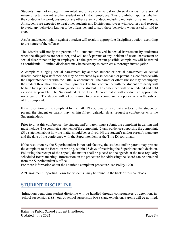Students must not engage in unwanted and unwelcome verbal or physical conduct of a sexual nature directed toward another student or a District employee. This prohibition applies whether the conduct is by word, gesture, or any other sexual conduct, including requests for sexual favors. All students are expected to treat other students and District employees with courtesy and respect, to avoid any behaviors known to be offensive, and to stop these behaviors when asked or told to stop.

A substantiated complaint against a student will result in appropriate disciplinary action, according to the nature of the offense.

The District will notify the parents of all students involved in sexual harassment by student(s) when the allegations are not minor, and will notify parents of any incident of sexual harassment or sexual discrimination by an employee. To the greatest extent possible, complaints will be treated as confidential. Limited disclosure may be necessary to complete a thorough investigation.

A complaint alleging sexual harassment by another student or sexual harassment or sexual discrimination by a staff member may be presented by a student and/or parent in a conference with the Superintendent or with the Title IX coordinator. The parent or other advisor may accompany the student throughout the complaint process. The first conference with the student ordinarily will be held by a person of the same gender as the student. The conference will be scheduled and held as soon as possible. The Superintendent or Title IX coordinator will conduct an appropriate investigation. The student will not be required to present a complaint to a person who is the subject of the complaint.

If the resolution of the complaint by the Title IX coordinator is not satisfactory to the student or parent, the student or parent may, within fifteen calendar days, request a conference with the Superintendent.

Prior to or at this conference, the student and/or parent must submit the complaint in writing and must include (1) a complete statement of the complaint, (2) any evidence supporting the complaint, (3) a statement about how the matter should be resolved, (4) the student's and/or parent's signature and the date of the conference with the Superintendent or the Title IX coordinator.

If the resolution by the Superintendent is not satisfactory, the student and/or parent may present the complaint to the Board, in writing, within 15 days of receiving the Superintendent's decision. Following the receipt of the appeal, the matter shall be placed on the agenda at the next regularly scheduled Board meeting. Information on the procedure for addressing the Board can be obtained from the Superintendent's office.

For more information about the District's complaint procedure, see Policy 1700.

<span id="page-33-0"></span>A "Harassment Reporting Form for Students" may be found in the back of this handbook.

## **STUDENT DISCIPLINE**

Infractions regarding student discipline will be handled through consequences of detention, inschool suspension (ISS), out-of-school suspension (OSS), and expulsion. Parents will be notified.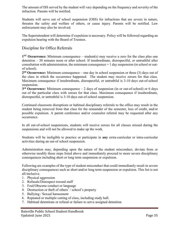The amount of ISS served by the student will vary depending on the frequency and severity of the infraction. Parents will be notified.

Students will serve out of school suspension (OSS) for infractions that are severe in nature, threaten the safety and welfare of others, or cause injury. Parents will be notified. Law enforcement may also be involved.

The Superintendent will determine if expulsion is necessary. Policy will be followed regarding an expulsion hearing with the Board of Trustees.

## Discipline for Office Referrals

**1ST Occurrence:** Minimum consequence – student(s) may receive a zero for the class plus one detention – 30 minutes noon or after school. If insubordinate, disrespectful, or untruthful after consultation with administration, the minimum consequence = 1 day suspension (in school or outof school).

**2nd Occurrence:** Minimum consequence – one day in school suspension or three (3) days out of the class in which the occurrence happened. The student may receive zeroes for that class. Maximum consequence if insubordinate, disrespectful, or untruthful is 3-10 days out-of-school suspension.

**3rd Occurrence:** Minimum consequence – 2 days of suspension (in or out-of-school) or 6 days out of the particular class with zeroes for that class. Maximum consequence if insubordinate, disrespectful, or untruthful is 3-10 days out-of-school suspension.

Continued classroom disruptions or habitual disciplinary referrals to the office may result in the student being removed from that class for the remainder of the semester, loss of credit, and/or possible expulsion. A parent conference and/or counselor referral may be requested after any occurrence.

In all out-of-school suspensions, students will receive zeroes for all classes missed during the suspensions and will not be allowed to make up the work.

Students will be ineligible to practice or participate in **any** extra-curricular or intra-curricular activities during an out-of school suspension.

Administration may, depending upon the nature of the student misconduct, deviate from or otherwise modify those steps listed above and immediately proceed to more severe disciplinary consequences including short or long term suspension or expulsion.

Following are examples of the type of student misconduct that could immediately result in severe disciplinary consequences such as short and/or long term suspension or expulsion. This list is not all-inclusive.

- 1. Physical aggression
- 2. Refusals/Disrespect toward staff
- 3. Foul/Obscene conduct or language
- 4. Destruction or theft of others' / school's property
- 5. Bullying / Sexual harassment
- 6. Repeated or multiple cutting of class, including study hall.
- 7. Habitual detentions or refusal or failure to serve assigned detention.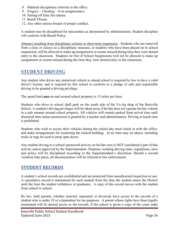- 8. Habitual disciplinary referrals to the office.
- 9. Forgery Cheating 0 on assignment(s)
- 10. Setting off false fire alarms.
- 11. Bomb Threats
- 12. Any other serious breach of proper conduct.

A student may be disciplined for misconduct as determined by administration. Student discipline will conform with Board Policy.

Absence resulting from disciplinary actions or short-term suspension - Students who are removed from a class or classes as a disciplinary measure, or students who have been placed on in school suspension, will be allowed to make up assignments or exams missed during time they were denied entry to the classroom. Students on Out of School Suspensions will not be allowed to make up assignments or exams missed during the time they were denied entry to the classroom.

## <span id="page-35-0"></span>**STUDENT DRIVING**

Any student who drives any motorized vehicle to attend school is required by law to have a valid driver's license, and is required by this school to conform to a pledge of safe and responsible driving to be granted a driving privilege.

The speed limit past on and around school property is 15 miles per hour.

Students who drive to school shall park on the south side of the Vo-Ag shop of the Bainville School. A student's driving privileges will be taken away if he/she does not operate his/her vehicle in a safe manner around school property. All vehicles will remain parked from arrival time until dismissal time unless permission is granted by a teacher and administration. Driving at lunch time is prohibited.

Students who wish to access their vehicles during the school day must check in with the office, and make arrangements for reentering the locked building. At no time may an object, including rocks or rugs be used to prop open doors.

Any student driving to a school-sponsored activity on his/her own is NOT considered a part of that activity unless approved by the Superintendent. Students violating driving rules, regulations, laws and policy will be disciplined according to the Superintendent's discretion. Should a second violation take place, all documentation will be referred to law enforcement.

## <span id="page-35-1"></span>**STUDENT RECORDS**

A student's school records are confidential and are protected from unauthorized inspection or use. A cumulative record is maintained for each student from the time the student enters the District until the time the student withdraws or graduates. A copy of this record moves with the student from school to school.

By law, both parents, whether married, separated, or divorced, have access to the records of a student who is under 18 or a dependent for tax purposes. A parent whose rights have been legally terminated will be denied access to the records, if the school is given a copy of the court order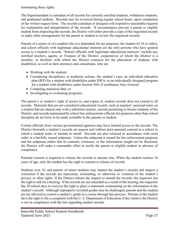terminating these rights.

The Superintendent is custodian of all records for currently enrolled students, withdrawn students, and graduated students. Records may be reviewed during regular school hours, upon completion of the written request form. The records custodian or designee will respond to reasonable requests for explanation and interpretation of the records. If circumstances prevent a parent or eligible student from inspecting the records, the District will either provide a copy of the requested records or make other arrangements for the parent or student to review the requested records.

Parents of a minor or of a student who is a dependent for tax purposes, the student (if 18 or older), and school officials with legitimate educational interests are the only persons who have general access to a student's records. "School officials with legitimate educational interests" include any certified teachers, agents, or Trustees of the District; cooperatives of which the District is a member; or facilities with which the District contracts for the placement of students with disabilities, as well as their attorneys and consultants, who are

- Working with the student;
- Considering disciplinary or academic actions, the student's case, an individual education plan (IEP) for a student with disabilities under IDEA, or an individually designed program for a student with disabilities under Section 504; (Coordinator Amy Iversen)
- Compiling statistical data; or
- Investigating or evaluating programs.

The parent's or student's right of access to, and copies of, student records does not extend to all records. Materials that are not considered educational records, such as teachers' personal notes on a student that are shared only with a substitute teacher, records pertaining to former students of the District, and records maintained by school law enforcement officials for purposes other than school discipline do not have to be made available to the parents or student.

Certain officials from various governmental agencies may have limited access to the records. The District forwards a student's records on request and without prior parental consent to a school in which a student seeks or intends to enroll. Records are also released in accordance with court order or a lawfully issued subpoena. Unless the subpoena is issued for law enforcement purposes and the subpoena orders that its contents, existence, or the information sought not be disclosed, the District will make a reasonable effort to notify the parent or eligible student in advance of compliance.

Parental consent is required to release the records to anyone else. When the student reaches 18 years of age, only the student has the right to consent to release of records.

Students over 18, and parents of minor students may inspect the student's records and request a correction if the records are inaccurate, misleading, or otherwise in violation of the student's privacy or other rights. If the District refuses the request to amend the records, the requestor has the right to ask for a hearing. If the records are not amended as a result of the hearing, the requestor has 30 school days to exercise the right to place a statement commenting on the information in the student's record. Although improperly recorded grades may be challenged, parents and the student are not allowed to contest a student's grade in a course through this process. Parents or the student have the right to file a complaint with the U. S. Department of Education if they believe the District is not in compliance with the law regarding student records.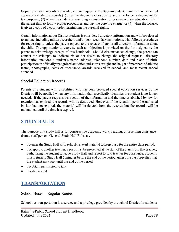Copies of student records are available upon request to the Superintendent. Parents may be denied copies of a student's records (1) after the student reaches age 18 and is no longer a dependent for tax purposes; (2) when the student is attending an institution of post-secondary education; (3) if the parent fails to follow proper procedures and pay the copying charge; or (4) when the District is given a copy of a court order terminating the parental rights.

Certain information about District students is considered directory information and will be released to anyone, including military recruiters and/or post-secondary institutions, who follows procedures for requesting it, unless the parent objects to the release of any or all directory information about the child. The opportunity to exercise such an objection is provided on the form signed by the parent to acknowledge receipt of this handbook. Should circumstances change, the parent can contact the Principal to indicate his or her desire to change the original request. Directory information includes a student's name, address, telephone number, date and place of birth, participation in officially recognized activities and sports, weight and height of members of athletic teams, photographs, dates of attendance, awards received in school, and most recent school attended.

## Special Education Records

Parents of a student with disabilities who has been provided special education services by the District will be notified when any information that specifically identifies the student is no longer needed. If the parent requests destruction of the information and the time established by law for retention has expired, the records will be destroyed. However, if the retention period established by law has not expired, the material will be deleted from the records but the records will be maintained until the time has expired.

## <span id="page-37-0"></span>**STUDY HALLS**

The purpose of a study hall is for constructive academic work, reading, or receiving assistance from a staff person. General Study Hall Rules are:

- To enter the Study Hall with **school-related** material to keep busy for the entire class period.
- To report to another teacher, a pass must be presented at the start of the class from that teacher, authorizing the student to leave Study Hall and report to said teacher for assistance. Students must return to Study Hall 5 minutes before the end of the period, unless the pass specifies that the student may stay until the end of the period.
- To obtain permission to talk
- <span id="page-37-1"></span>• To stay seated

# **TRANSPORTATION**

School Buses – Regular Routes

School bus transportation is a service and a privilege provided by the school District for students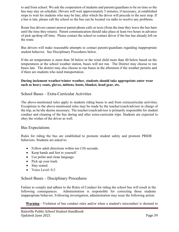to and from school. We ask the cooperation of students and parents/guardians to be on time so the bus may stay on schedule. Drivers will wait approximately 5 minutes, if necessary, at established stops to wait for students who may be late; after which the driver will precede to the next stop. If a bus is late, please call the school so the bus can be located via radio to resolve any problems.

Route bus drivers cannot answer parent phone calls or texts (from the time they leave the bus barn until the time they return). Parent communication should take place at least two hours in advance of pick up/drop off time. Please contact the school to contact driver if the bus has already left on the route.

Bus drivers will make reasonable attempts to contact parents/guardians regarding inappropriate student behavior. See Disciplinary Procedures below.

If the air temperature is more than 30 below or the wind child more than 40 below based on the temperatures at the school weather station, buses will not run. The District may choose to run buses late. The district may also choose to run buses in the afternoon if the weather permits and if there are students who need transportation.

#### **During inclement weather/winter weather, students should take appropriate outer wear such as heavy coats, gloves, mittens, boots, blanket, head gear, etc.**

#### School Buses – Extra-Curricular Activities

The above-mentioned rules apply to students riding buses to and from extracurricular activities. Exceptions to the above-mentioned rules may be made by the teacher/coach/advisor in charge of the trip, as he/she deems necessary. The teacher/coach/advisor is primarily responsible for student conduct and cleaning of the bus during and after extra-curricular trips. Students are expected to obey the wishes of the driver as well.

#### Bus Expectations

Rules for riding the bus are established to promote student safety and promote PRIDE behaviors. Students are asked to:

- Follow adult directions within ten (10) seconds.
- Keep hands and feet to yourself.
- Use polite and clean language.
- Pick up your trash.
- Stay seated.
- Voice Level: 0-2

#### School Buses – Disciplinary Procedures

Failure to comply and adhere to the Rules of Conduct for riding the school bus will result in the following consequences. Administration is responsible for correcting those students inappropriate behavior. Following investigation, administration may issue the following action:

**Warning**—Violation of bus conduct rules and/or when a student's misconduct is deemed to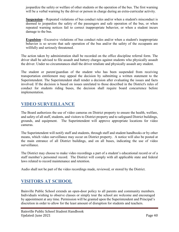jeopardize the safety or welfare of other students or the operation of the bus. The first warning will be a verbal warning by the driver or person in charge during an extra-curricular activity.

**Suspension**—Repeated violations of bus conduct rules and/or when a student's misconduct is deemed to jeopardize the safety of the passengers and safe operation of the bus, or when repeated warning notices fail to correct inappropriate behavior, or when a student incurs damage to the bus.

**Expulsion**—Excessive violations of bus conduct rules and/or when a student's inappropriate behavior is so severe that safe operation of the bus and/or the safety of the occupants are willfully and seriously threatened.

The action taken by administration shall be recorded on the office discipline referral form. The driver shall be advised to file assault and battery charges against students who physically assault the driver. Under no circumstances shall the driver retaliate and physically assault any student.

The student or parent/guardian of the student who has been suspended from receiving transportation entitlement may appeal the decision by submitting a written statement to the Superintendent. The Superintendent shall render a decision after evaluating the issues and facts involved. If the decision is based on issues unrelated to those described in the District's rules of conduct for students riding buses, the decision shall require board concurrence before implementation.

## <span id="page-39-0"></span>**VIDEO SURVEILLANCE**

The Board authorizes the use of video cameras on District property to ensure the health, welfare, and safety of all staff, students, and visitors to District property and to safeguard District buildings, grounds, and equipment. The Superintendent will approve appropriate locations for video cameras.

The Superintendent will notify staff and students, through staff and student handbooks or by other means, which video surveillance may occur on District property. A notice will also be posted at the main entrance of all District buildings, and on all buses, indicating the use of video surveillance.

The District may choose to make video recordings a part of a student's educational record or of a staff member's personnel record. The District will comply with all applicable state and federal laws related to record maintenance and retention.

<span id="page-39-1"></span>Audio shall not be part of the video recordings made, reviewed, or stored by the District.

# **VISITORS AT SCHOOL**

Bainville Public School extends an open-door policy to all parents and community members. Individuals wishing to observe classes or simply tour the school are welcome and encouraged by appointment at any time. Permission will be granted upon the Superintendent and Principal's discretion in order to allow for the least amount of disruption for students and teachers.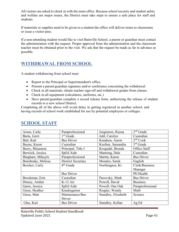All visitors are asked to check in with the main office. Because school security and student safety and welfare are major issues, the District must take steps to ensure a safe place for staff and students.

If materials or supplies need to be given to a student the office will deliver items to classrooms or issue a visitor pass.

If a non-attending student would like to visit Bainville School, a parent or guardian must contact the administration with the request. Proper approval from the administration and the classroom teacher must be obtained prior to the visit. We ask that the request be made as far in advance as possible.

# <span id="page-40-0"></span>**WITHDRAWAL FROM SCHOOL**

A student withdrawing from school must

- Report to the Principal or Superintendent's office.
- Present a parent/guardian signature and/or conference concerning the withdrawal
- Check in all materials, obtain teacher sign-off and withdrawal grades from classes.
- Check in all equipment (calculators, uniforms, etc.)
- Have parent/guardian complete a record release form, authorizing the release of student records to a new school District.

Completing all of the above will avoid delay in getting registered in another school, and having records of school work established for use by potential employers or colleges.

| Azure, Carla       | Paraprofessional          | Jorgenson, Rayna    | $2nd$ Grade          |
|--------------------|---------------------------|---------------------|----------------------|
| Barta, Gerri       | 1 <sup>st</sup> Grade     | Juhl, Carolyn       | Custodian            |
| Batt, Katt         | <b>Bus Driver</b>         | Knudsen, Aaron      | 2 <sup>nd</sup> Cook |
| Bayne, Karen       | Custodian                 | Keefner, Samantha   | $3rd$ Grade          |
| Beery, Rhiannon    | Principal, Title I        | Krogedal, Brenda    | Office Staff         |
| Berwick, Jessica   | SpEd Aide                 | Manning, Dale       | Custodian            |
| Bingham, Mikayla   | Paraprofessional          | Martin, Karen       | <b>Bus Driver</b>    |
| Bonebrake, Melissa | <b>District Secretary</b> | Morales, Sarah      | English              |
| Bowker, Carly      | $4th$ Grade               | Northington, Kt     | Clerk/Business       |
|                    |                           |                     | Manager              |
|                    | <b>Bus Driver</b>         |                     | PE/Health            |
| Brookman, Erin     | Custodian                 | Pacovsky, Mark      | <b>Bus Driver</b>    |
| Disney, Amber      | $K-12$ Art                | Powell, David       | <b>Business</b>      |
| Garro, Jessica     | SpEd Aide                 | Powell, One Oak     | Paraprofessional     |
| Giese, Heather     | Kindergarten              | Riegler, Wendy      | Math                 |
| Giese, Matt        | Maintenance/Bus           | Standley, Elizabeth | Science              |
|                    | Driver                    |                     |                      |
| Glas, Kari         | <b>Bus Driver</b>         | Standley, Kellan    | Ag Ed                |

## <span id="page-40-1"></span>**SCHOOL STAFF**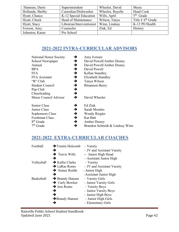| Hannum, Darin    | Superintendent                            | Wheeler, David   | Music                |
|------------------|-------------------------------------------|------------------|----------------------|
| Hollanda, Shelby | Custodian/Dishwasher                      | Wheeler, Rayelle | Head Cook            |
| Hyatt, Chance    | K-12 Special Education                    | Wills, April     | $5th$ Grade          |
| Hyatt, Chuck     | Head of Maintenance                       | Wilson, Tanya    | Title I/ $6th$ Grade |
| Hyatt, Stacy     | Librarian/Interventionist   Winn, Lindsay |                  | K-12 PE/Health       |
| Iverson, Amy     | Counselor                                 | Zink, Ed         | History              |
| Johnston, Karen  | Pre School                                |                  |                      |

# **2021-2022 INTRA-CURRICULAR ADVISORS**

<span id="page-41-0"></span>

| National Honor Society<br>School Newspaper<br>Annual | →<br>→<br>→   | Amy Iversen<br>David Powell/Amber Disney<br>David Powell/Amber Disney |
|------------------------------------------------------|---------------|-----------------------------------------------------------------------|
| <b>BPA</b>                                           | →             | David Powell                                                          |
| <b>FFA</b>                                           | →             | Kellan Standley                                                       |
| FFA Assistant                                        | →             | Elizabeth Standley                                                    |
| "B" Club                                             | →             | Tanya Wilson                                                          |
| <b>Student Council</b>                               | $\rightarrow$ | <b>Rhiannon Beery</b>                                                 |
| Pep Club                                             | →             |                                                                       |
| Cheerleading                                         | →             |                                                                       |
| Music Council Advisor                                | →             | David Wheeler                                                         |
| Senior Class                                         | →             | Ed Zink                                                               |
| Junior Class                                         | →             | <b>Sarah Morales</b>                                                  |
| Sophomore Class                                      | →             | Wendy Riegler                                                         |
| Freshman Class                                       | $\rightarrow$ | <b>Kat Batt</b>                                                       |
| 8 <sup>th</sup> Grade                                | $\rightarrow$ | <b>Amber Disney</b>                                                   |
| $7th$ Grade                                          | →             | Brandon Schmidt & Lindsay Winn                                        |

# <span id="page-41-1"></span>**2021-2022 EXTRA-CURRICULAR COACHES**

| Football   | $\rightarrow$ Trustin Holcomb | $-$ Varsity                |
|------------|-------------------------------|----------------------------|
|            | →                             | - JV and Assistant Varsity |
|            | $\rightarrow$ Travis Wills    | -- Junior High Head        |
|            | →                             | - Assistant Junior High    |
| Volleyball | $\rightarrow$ Kallie Clarke   | $-$ Varsity                |
|            | $\rightarrow$ LaRae Romo      | - JV and Assistant Varsity |
|            | $\rightarrow$ Somer Reidle    | - Junior High              |
|            | →                             | -Assistant Junior High     |
| Basketball | $\rightarrow$ Brandy Hansen   | - Varsity Girls            |
|            | $\rightarrow$ Carly Bowker    | - Junior Varsity Girls     |
|            | $\rightarrow$ Jess Romo       | - Varsity Boys             |
|            | →                             | - Junior Varsity Boys      |
|            | →                             | - Junior High Boys         |
|            | $\rightarrow$ Brandy Hansen   | - Junior High Girls        |
|            | →                             | - Elementary Girls         |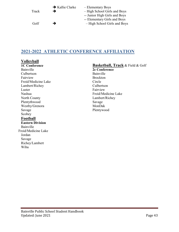| Track | $\rightarrow$ Kallie Clarke<br>→ | - Elementary Boys<br>- High School Girls and Boys<br>-- Junior High Girls and Boys |
|-------|----------------------------------|------------------------------------------------------------------------------------|
| Golf  | →                                | -- Elementary Girls and Boys<br>- High School Girls and Boys                       |

## <span id="page-42-0"></span>**2021-2022 ATHLETIC CONFERENCE AFFILIATION**

## **Volleyball**

**1C Conference** Bainville Culbertson Fairview Froid/Medicine Lake Lambert/Richey Luster Nashua North County Plentythwood Westby/Grenora Savage Scobey **Football Eastern Division** Bainville Froid/Medicine Lake Jordan Savage Richey/Lambert Wiba

## **Basketball, Track** & Field & Golf

**2c Conference** Bainville Brockton Circle Culbertson Fairview Froid/Medicine Lake Lambert/Richey Savage MonDak Plentywood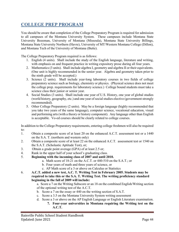# <span id="page-43-0"></span>**COLLEGE PREP PROGRAM**

You should be aware that completion of the College Preparatory Program is required for admission to all campuses of the Montana University System. These campuses include Montana State University Bozeman, University of Montana (Missoula), Montana State University Billings, Montana State University Northern (Havre), University of MT/Western Montana College (Dillon), and Montana Tech of the University of Montana (Butte).

The College Preparatory Program required is as follows:

- 1. English (4 units). Shall include the study of the English language, literature and writing, with emphasis on and frequent practice in writing expository prose during all four years.
- 2. Mathematics (3 units). Shall include algebra I, geometry and algebra II or their equivalents. (One unit is highly recommended in the senior year. Algebra and geometry taken prior to the ninth grade will be accepted.)
- 3. Science (2 units). Shall include year-long laboratory courses in two fields of college preparatory science such as biology, chemistry or physics. (Physical science does not meet the college prep. requirements for laboratory science.) College bound students must take a science class their junior or senior year.
- 4. Social Studies (3 units). Shall include one year of U.S. History, one year of global studies (world history, geography, etc.) and one year of social studies elective (government strongly recommended).
- 5. Other College Preparatory (2 units). May be a foreign language (highly recommended that you take two years of the same language), computer science, vocational education, visual and performing arts (with a theory or history component). Any language other than English is acceptable. Vo-ed courses should be clearly related to college courses.

In addition to the College Preparatory requirements, entering college freshmen will also be required to:

- 1. Obtain a composite score of at least 20 on the enhanced A.C.T. assessment test or a 1440 on the S.A. T. (northern and western only)
- 2. Obtain a composite score of at least 22 on the enhanced A.C.T. assessment test or 1540 on the S.A.T. (Scholastic Aptitude Test), or;
- 3. Obtain a grade point average (GPA) of at least 2.5 or;
- 4. Rank in the upper half of your school's graduating class.
- 5. **Beginning with the incoming class of 2007 and until 2010.**
	- a. Math score of 18-21 on the A.C.T. or 440-510 on the S.A.T.; or
	- b. Four years of math and three years of science, or
	- c. AP Math score of a 3 or above on Calculus or Statistics
- 6. **A.C.T. added a new test, A.C. T. Writing Test in February 2005. Students may be required to take this or the S.A. T. Writing Test. The writing proficiency standard beginning in the fall of 2009 will include:**

a. Score a 7 on the Writing Subscore or an 18 on the combined English/Writing section of the optional writing test of the A.C.T.

- b. Score a 7 on the essay or 440 on the writing section of S.A.T.
- c. Score a 3.5 on the Montana University System writing assessment
- d. Score a 3 or above on the AP English Language or English Literature examination.
	- **7. Four-year universities in Montana requiring the Writing test on the A.C.T.**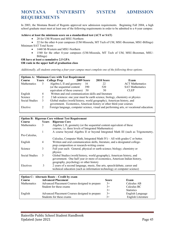## <span id="page-44-0"></span>**MONTANA UNIVERSITY SYSTEM ADMISSION REQUIREMENTS**

In 2003, the Montana Board of Regents approved new admission requirements. Beginning Fall 2004, a high school graduate must meet at least one of the following requirements in order to be admitted to a 4-year campus:

#### **Achieve at least the minimum score on a standardized test (ACT or SAT)**

• 20 for UM-Western and MSU-Northern

• 22 for the other 4-year campuses (UM-Missoula, MT Tech of UM, MSU-Bozeman, MSU-Billings) Minimum SAT Total Score

- 1440 M-Western and MSU-Northern
- 1540 for the other 4-year campuses (UM-Missoula, MT Tech of UM, MSU-Bozeman, MSU-Billings)

#### **OR have at least a cumulative 2.5 GPA OR rank in the upper half of graduation class**

*Additionally, all students entering a four-year campus must complete one of the following three options.*

|                    |                | <b>Options A: Minimum Core with Test Requirement</b>                                                                                          |            |            |                                                                                          |
|--------------------|----------------|-----------------------------------------------------------------------------------------------------------------------------------------------|------------|------------|------------------------------------------------------------------------------------------|
| Course             |                | <b>Years</b> College Prep                                                                                                                     | 2009 Score | 2010 Score | Exam                                                                                     |
| <b>Mathematics</b> |                | Algebra I, II and geometry                                                                                                                    | 16         | 22         | <b>ACT</b> Mathematics                                                                   |
|                    |                | (or the sequential content                                                                                                                    | 390        | 520        | <b>SAT Mathematics</b>                                                                   |
|                    |                | equivalent of these courses)                                                                                                                  | 50         | 50         | CLEP                                                                                     |
| English            | $\overline{4}$ | Written and oral communication skills and literature                                                                                          |            |            |                                                                                          |
| Science            | 2              | 2 lab sciences: one year must be earth science, biology, chemistry or physics                                                                 |            |            |                                                                                          |
| Social Studies     | 3              | Global studies (world history, world geography), American history, and<br>government. Economics, American history or other third-year courses |            |            |                                                                                          |
| Elective           |                |                                                                                                                                               |            |            | Foreign language, computer science, visual and performing arts, or vocational education. |

|                |                | <b>Option B: Rigorous Core without Test Requirement</b>                         |
|----------------|----------------|---------------------------------------------------------------------------------|
| Course         | Years          | <b>Rigorous Core</b>                                                            |
| Mathematics    | 3              | Algebra I, II, geometry (or the sequential content equivalent of these          |
|                |                | courses, i.e. three levels of Integrated Mathematics)                           |
|                |                | A course beyond Algebra II or beyond Integrated Math III (such as Trigonometry, |
| Pre-Calculus,  |                |                                                                                 |
|                |                | Calculus, Computer Math, Integrated Math $IV$ ) – All with grades C or better.  |
| English        | $\overline{4}$ | Written and oral communication skills, literature, and a designated college-    |
|                |                | prep composition or research-writing course                                     |
| Science        | 3              | Full year each: General, physical or earth science; biology; chemistry or       |
|                |                | physics                                                                         |
| Social Studies | 3              | Global Studies (world history, world geography), American history, and          |
|                |                | government. One half year or more of economics, American Indian history,        |
|                |                | geography, psychology or other history                                          |
| Electives      | 3              | 2 years of a second language, music, fine arts, speech/debate, career and       |
|                |                | technical education (such as information technology or computer science)        |

| Option C: Alternate Route – Credit by exam |                                                |              |                    |  |
|--------------------------------------------|------------------------------------------------|--------------|--------------------|--|
| Course                                     | <b>Advanced Placement</b>                      | <b>Score</b> | Exam               |  |
| <b>Mathematics</b>                         | Advanced Placement Courses designed to prepare | $3+$         | Calculus AB        |  |
|                                            | Student for these exams                        | $3+$         | Calculus BC        |  |
|                                            |                                                | $3+$         | <b>Statistics</b>  |  |
| English                                    | Advanced Placement Courses designed to prepare | $3+$         | English Language   |  |
|                                            | Students for these exams                       | $3+$         | English Literature |  |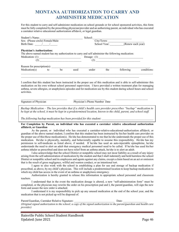## **MONTANA AUTHORIZATION TO CARRY AND ADMINISTER MEDICATION**

<span id="page-45-0"></span>For this student to carry and self-administer medication on school grounds or for school sponsored activities, this form must be fully completed by the prescribing physician/provider and an authorizing parent, an individual who has executed a caretaker relative educational authorization affidavit, or legal guardian.

| Student's Name:                                                                                     |    |      | School: |              |                   |             |
|-----------------------------------------------------------------------------------------------------|----|------|---------|--------------|-------------------|-------------|
| Sex: (Please circle) Female/Male                                                                    |    |      |         | City/Town:   |                   |             |
| Birth Date: $\frac{1}{\sqrt{1-\frac{1}{2}}}$                                                        |    |      |         | School Year: | (Renew each year) |             |
| <b>Physician's Authorization:</b>                                                                   |    |      |         |              |                   |             |
| The above named student has my authorization to carry and self administer the following medication: |    |      |         |              |                   |             |
| Medication: (1)                                                                                     |    |      |         |              | Dosage: $(1)$     |             |
| (2)                                                                                                 |    |      | (2)     |              |                   |             |
| Reason for prescription $(s)$ :                                                                     |    |      |         |              |                   |             |
| Medication(s)<br>to                                                                                 | be | used | under   | the          | following         | conditions: |
|                                                                                                     |    |      |         |              |                   |             |

I confirm that this student has been instructed in the proper use of this medication and is able to self-administer this medication on his own without school personnel supervision. I have provided a written treatment plan for managing asthma, severe allergies, or anaphylaxis episodes and for medication use by this student during school hours and school activities.

Signature of Physician Physician's Phone Number Date

*Backup Medication – The law provides that if a child's health care provider prescribes "backup" medication to be kept at the school, it must be kept in a predetermined location, known to the child, parent, and school staff.*

\_\_\_\_\_\_\_\_\_\_\_\_\_\_\_\_\_\_\_\_\_\_\_\_\_\_\_\_\_\_\_\_\_ \_\_\_\_\_\_\_\_\_\_\_\_\_\_\_\_\_\_\_\_\_\_\_ \_\_\_\_\_\_\_\_\_\_\_\_\_\_\_\_\_\_\_\_\_\_\_

The following backup medication has been provided for this student:

#### **For Completion by Parent, an individual who has executed a caretaker relative educational authorization affidavit, or Guardian**

As the parent, or individual who has executed a caretaker-relative-educational-authorization affidavit, or guardian of the above named student, I confirm that this student has been instructed by his/her health care provider on the proper use of this/these medication(s). He/she has demonstrated to me that he/she understands the proper use of this medication. He/she is physically, mentally, and behaviorally capable to assume this responsibility. He/she has my permission to self-medicate as listed above, if needed. If he/she has used an auto-injectable epinephrine, he/she understands the need to alert an adult that emergency medical personnel need to be called. If he/she has used his/her asthma inhaler as prescribed and does not have relief from an asthma attack, he/she is to alert an adult.

I also acknowledge that the school District or nonpublic school may not incur liability as a result of any injury arising from the self-administration of medication by the student and that I shall indemnify and hold harmless the school District or nonpublic school and its employees and agents against any claims, except a claim based on an act or omission that is the result of gross negligence, willful and wanton conduct, or an intentional tort.

I agree to also work with the school in establishing a plan for use and storage of backup medication if prescribed, as above, by my child's physician. This will include a predetermined location to keep backup medication to which my child has access in the event of an asthma or anaphylaxis emergency.

Authorization is hereby granted to release this information to appropriate school personnel and classroom teachers.

I understand that in the event the medication dosage is altered, a new "self-administration form" must be completed, or the physician may rewrite the order on his prescription pad and I, the parent/guardian, will sign the new form and assure the new order is attached.

I understand it is my responsibility to pick up any unused medication at the end of the school year, and the medication that is not picked up will be disposed of.

Parent/Guardian, Caretaker Relative Signature: \_\_\_\_\_\_\_\_\_\_\_\_\_\_\_\_\_\_\_\_\_\_\_\_\_\_\_\_\_\_\_\_Date: *(Original signed authorization to the school; a copy of the signed authorization to the parent/guardian and health care provider)*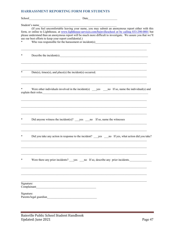#### <span id="page-46-0"></span>**HARRASSMENT REPORTING FORM FOR STUDENTS**

| Student's name                          | (If you feel uncomfortable leaving your name, you may submit an anonymous report either with this<br>form, or online to Lighthouse, at www.lighthouse-services.com/bainvilleschool or by calling 833-290-0001 but<br>please understand than an anonymous report will be much more difficult to investigate. We assure you that we'll<br>use our best efforts to keep your report confidential.) |
|-----------------------------------------|-------------------------------------------------------------------------------------------------------------------------------------------------------------------------------------------------------------------------------------------------------------------------------------------------------------------------------------------------------------------------------------------------|
| *                                       | Describe the incident(s).                                                                                                                                                                                                                                                                                                                                                                       |
| *                                       | $Date(s)$ , times(s), and place(s) the incident(s) occurred.                                                                                                                                                                                                                                                                                                                                    |
|                                         | explain their roles.                                                                                                                                                                                                                                                                                                                                                                            |
|                                         |                                                                                                                                                                                                                                                                                                                                                                                                 |
|                                         |                                                                                                                                                                                                                                                                                                                                                                                                 |
| *                                       | Were there any prior incidents? yes no If so, describe any prior incidents.                                                                                                                                                                                                                                                                                                                     |
| Signature:<br>Complainant<br>Signature: | Parents/legal guardian                                                                                                                                                                                                                                                                                                                                                                          |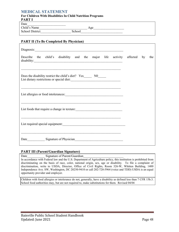#### <span id="page-47-0"></span>**MEDICAL STATEMENT**

#### **For Children With Disabilities In Child Nutrition Programs PART I**

| Date                   |               |     |
|------------------------|---------------|-----|
| Child's Name           |               | Age |
| <b>School District</b> | <b>School</b> |     |

#### **PART II (To Be Completed By Physician)**

| Describe the child's disability and the major life activity affected by                                               |  | the |
|-----------------------------------------------------------------------------------------------------------------------|--|-----|
| <u> 1989 - Johann Stoff, deutscher Stoff, der Stoff, der Stoff, der Stoff, der Stoff, der Stoff, der Stoff, der S</u> |  |     |
| List dietary restrictions or special diet:                                                                            |  |     |
|                                                                                                                       |  |     |
|                                                                                                                       |  |     |
| <u> 1989 - Johann Stoff, deutscher Stoff, der Stoff, der Stoff, der Stoff, der Stoff, der Stoff, der Stoff, der S</u> |  |     |
| List foods that require a change in texture: ___________________________________                                      |  |     |
|                                                                                                                       |  |     |
|                                                                                                                       |  |     |
| and the control of the control of the control of the control of the control of the control of the control of the      |  |     |
| Date Signature of Physician Samman Charles Signature of Physician                                                     |  |     |

#### **PART III (Parent/Guardian Signature)**

#### Date Signature of Parent/Guardian

In accordance with Federal law and the U.S. Department of Agriculture policy, this institution is prohibited from discriminating on the basis of race, color, national origin, sex, age or disability. To file a complaint of discrimination, write to USDA, Director, Office of Civil Rights, Room 326-W, Whitten Building, 1400 Independence Ave. SW, Washington, DC 20250-9410 or call 202-720-5964 (voice and TDD) USDA is an equal opportunity provider and employer.

Children with food allergies or intolerance do not, generally, have a disability as defined less than 7 CFR 15b.3. School food authorities may, but are not required to, make substitutions for them. Revised 04/04

٦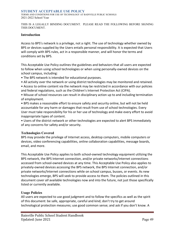#### <span id="page-48-0"></span>**STUDENT ACCEPTABLE USE POLICY**

TERMS AND CONDITIONS FOR USE OF TECHNOLOGY AT BAINVILLE PUBLIC SCHOOLS 2021-2022 School Year

THIS IS A LEGALLY BINDING DOCUMENT. PLEASE READ THE FOLLOWING BEFORE SIGNING THIS DOCUMENT.

#### **Introduction**

Access to BPS's network is a privilege, not a right. The use of technology whether owned by BPS or devices supplied by the Users entails personal responsibility. It is expected that Users will comply with BPS rules, act in a responsible manner, and will honor the terms and conditions set by BPS.

This Acceptable Use Policy outlines the guidelines and behaviors that all users are expected to follow when using school technologies or when using personally-owned devices on the school campus, including:

• The BPS network is intended for educational purposes.

• All activity over the network or using district technologies may be monitored and retained.

• Access to online content via the network may be restricted in accordance with our policies and federal regulations, such as the Children's Internet Protection Act (CIPA).

• Misuse of school resources can result in disciplinary action up to and including termination of employment.

• BPS makes a reasonable effort to ensure safety and security online, but will not be held accountable for any harm or damages that result from use of school technologies. Every User must take responsibility for his or her use of technology and make every effort to avoid inappropriate types of content.

• Users of the district network or other technologies are expected to alert BPS immediately of any concerns for safety and/or security.

#### **Technologies Covered**

BPS may provide the privilege of Internet access, desktop computers, mobile computers or devices, video conferencing capabilities, online collaboration capabilities, message boards, email, and more.

This Acceptable Use Policy applies to both school-owned technology equipment utilizing the BPS network, the BPS Internet connection, and/or private networks/Internet connections accessed from school-owned devices at any time. This Acceptable Use Policy also applies to privately-owned devices accessing the BPS network, the BPS Internet connection, and/or private networks/Internet connections while on school campus, busses, or events. As new technologies emerge, BPS will seek to provide access to them. The policies outlined in this document cover *all* available technologies now and into the future, not just those specifically listed or currently available.

#### **Usage Policies**

All users are expected to use good judgment and to follow the specifics as well as the spirit of this document: be safe, appropriate, careful and kind; don't try to get around technological protection measures; use good common sense; and ask if you don't know. A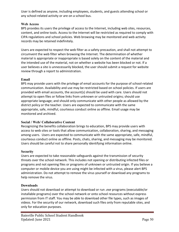User is defined as anyone, including employees, students, and guests attending school or any school-related activity or are on a school bus.

#### **Web Access**

BPS provides its users the privilege of access to the Internet, including web sites, resources, content, and online tools. Access to the Internet will be restricted as required to comply with CIPA regulations and school policies. Web browsing may be monitored and web activity records may be retained indefinitely.

Users are expected to respect the web filter as a safety precaution, and shall not attempt to circumvent the web filter when browsing the Internet. The determination of whether material is appropriate or inappropriate is based solely on the content of the material and the intended use of the material, not on whether a website has been blocked or not. If a user believes a site is unnecessarily blocked, the user should submit a request for website review through a report to administration.

#### **Email**

BPS may provide users with the privilege of email accounts for the purpose of school-related communication. Availability and use may be restricted based on school policies. If users are provided with email accounts, the account(s) should be used with care. Users should not attempt to open files or follow links from unknown or untrusted origins; should use appropriate language; and should only communicate with other people as allowed by the district policy or the teacher. Users are expected to communicate with the same appropriate, safe, mindful, courteous conduct online as offline. Email usage may be monitored and archived.

## **Social / Web/ Collaborative Content**

Recognizing the benefits collaboration brings to education, BPS may provide users with access to web sites or tools that allow communication, collaboration, sharing, and messaging among users. Users are expected to communicate with the same appropriate, safe, mindful, courteous conduct online as offline. Posts, chats, sharing, and messaging may be monitored. Users should be careful not to share personally identifying information online.

#### **Security**

Users are expected to take reasonable safeguards against the transmission of security threats over the school network. This includes not opening or distributing infected files or programs and not opening files or programs of unknown or untrusted origin. If you believe a computer or mobile device you are using might be infected with a virus, please alert BPS administration. Do not attempt to remove the virus yourself or download any programs to help remove the virus.

#### **Downloads**

Users should not download or attempt to download or run *.exe* programs (executable/or installable programs) over the school network or onto school resources without express permission from IT staff. You may be able to download other file types, such as images of videos. For the security of our network, download such files only from reputable sites, and only for education purposes.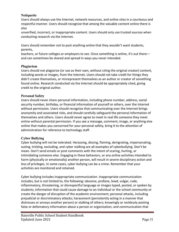#### **Netiquette**

Users should always use the Internet, network resources, and online sites in a courteous and respectful manner. Users should recognize that among the valuable content online there is also

unverified, incorrect, or inappropriate content. Users should only use trusted sources when conducting research via the Internet.

Users should remember not to post anything online that they wouldn't want students, parents,

teachers, or future colleges or employers to see. Once something is online, it's out there and can sometimes be shared and spread in ways you never intended.

#### **Plagiarism**

Users should not plagiarize (or use as their own, without citing the original creator) content, including words or images, from the Internet. Users should not take credit for things they didn't create themselves, or misrepresent themselves as an author or creator of something found online. Research conducted via the Internet should be appropriately cited, giving credit to the original author.

#### **Personal Safety**

Users should never share personal information, including phone number, address, social security number, birthday, or financial information of yourself or others, over the Internet without permission. Users should recognize that communicating over the Internet brings anonymity and associated risks, and should carefully safeguard the personal information of themselves and others. Users should never agree to meet in real life someone they meet online without parental permission. If you see a message, comment, image, or anything else online that makes you concerned for your personal safety, bring it to the attention of administration for reference to technology staff.

#### **Cyber Bullying**

Cyber bullying will not be tolerated. Harassing, dissing, flaming, denigrating, impersonating, outing, tricking, excluding, and cyber stalking are all examples of cyberbullying. Don't be mean. Don't send emails or post comments with the intent of scaring, hurting, or intimidating someone else. Engaging in these behaviors, or any online activities intended to harm (physically or emotionally) another person, will result in severe disciplinary action and loss of privileges. In some cases, cyber bullying can be a crime. Remember that your activities are monitored and retained.

Cyber bullying includes inappropriate communication. Inappropriate communication includes, but is not limited to, the following: obscene, profane, lewd, vulgar, rude, inflammatory, threatening, or disrespectful language or images typed, posted, or spoken by students; information that could cause damage to an individual or the school community or create the danger of disruption of the academic environment; personal attacks, including prejudicial or discriminatory attacks; harassment (persistently acting in a manner that distresses or annoys another person) or stalking of others; knowingly or recklessly posting false or defamatory information about a person or organization; and communication that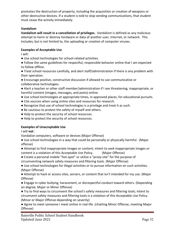promotes the destruction of property, including the acquisition or creation of weapons or other destructive devices. If a student is told to stop sending communications, that student must cease the activity immediately.

#### **Vandalism**

**Vandalism will result in a cancellation of privileges.** Vandalism is defined as any malicious attempt to harm or destroy hardware or data of another user, Internet, or network. This includes, but is not limited to, the uploading or creation of computer viruses.

#### **Examples of Acceptable Use**

I will:

- Use school technologies for school-related activities.
- Follow the same guidelines for respectful, responsible behavior online that I am expected to follow offline.
- Treat school resources carefully, and alert staff/administration if there is any problem with their operation.
- Encourage positive, constructive discussion if allowed to use communicative or collaborative technologies.
- Alert a teacher or other staff member/administration if I see threatening, inappropriate, or harmful content (images, messages, and posts) online.
- Use school technologies at appropriate times, in approved places, for educational pursuits.
- Cite sources when using online sites and resources for research.
- Recognize that use of school technologies is a privilege and treat it as such.
- Be cautious to protect the safety of myself and others.
- Help to protect the security of school resources.
- Help to protect the security of school resources.

#### **Examples of Unacceptable Use**

I will **not** :

Vandalize computers, software or devices (Major Offense)

- Use school technologies in a way that could be personally or physically harmful. (Major offense)
- Attempt to find inappropriate images or content; intent to seek inappropriate images or content is a violation of this Acceptable Use Policy. (Major Offense)
- Create a personal mobile "hot-spot" or utilize a "proxy site" for the purpose of circumventing network safety measures and filtering tools. (Major Offense)
- Use school technologies for illegal activities or to pursue information on such activities. (Major Offense)
- Attempt to hack or access sites, servers, or content that isn't intended for my use. (Major Offense)
- Engage in cyber bullying, harassment, or disrespectful conduct toward others. (Depending on degree, Major or Minor Offense)
- Try to find ways to circumvent the school's safety measures and filtering tools; intent to circumvent safety measures and filtering tools is a violation of this Acceptable Use Policy. (Minor or Major Offense depending on severity)
- Agree to meet someone I meet online in real life. (chatting Minor Offense, meeting Major Offense)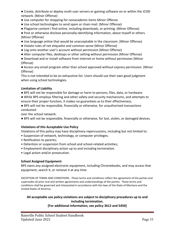● Create, distribute or deploy multi-user servers or gaming software on or within the JCISD network. (Minor Offense)

- Use computer for shopping for nonacademic items Minor Offense
- Use school technologies to send spam or chain mail. (Minor Offense)
- Plagiarize content I find online, including downloads, or printing. (Minor Offense)
- Post or otherwise disclose personally-identifying information, about myself or others. (Minor Offense)
- Use language online that would be unacceptable in the classroom. (Minor Offense)
- Violate rules of net etiquette and common sense (Minor Offense)
- Log onto another user's account without permission (Minor Offense)
- Alter computer files, desktops or other setting without permission (Minor Offense)
- Download and or install software from internet or home without permission (Minor Offense)

● Access any email program other than school approved without express permission. (Minor Offense)

This is not intended to be an exhaustive list. Users should use their own good judgment when using school technologies.

#### **Limitation of Liability**

- BPS will not be responsible for damage or harm to persons, files, data, or hardware.
- While BPS employs filtering and other safety and security mechanisms, and attempts to ensure their proper function, it makes no guarantees as to their effectiveness.
- BPS will not be responsible, financially or otherwise, for unauthorized transactions conducted

over the school network.

● BPS will not be responsible, financially or otherwise, for lost, stolen, or damaged devices.

## **Violations of this Acceptable Use Policy**

Violations of this policy may have disciplinary repercussions, including but not limited to:

- Suspension of network, technology, or computer privileges;
- Notification to parents;
- Detention or suspension from school and school-related activities;
- Employment disciplinary action up to and including termination.
- Legal action and/or prosecution.

## **School Assigned Equipment:**

BPS owns any assigned electronic equipment, including Chromebooks, and may access that equipment, search it, or remove it at any time

EXCEPTION OF TERMS AND CONDITIONS - These terms and conditions reflect the agreement of the parties and supersedes all prior oral and written agreements and understandings of the parties. These terms and conditions shall be governed and interpreted in accordance with the laws of the State of Montana and the United States of America.

## **All acceptable use policy violations are subject to disciplinary procedures up to and including termination.**

## **[For additional information, see policy 3612 and 5450]**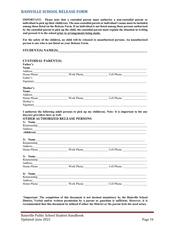## <span id="page-53-0"></span>**BAINVILLE SCHOOL RELEASE FORM**

**IMPORTANT: Please note that a custodial parent must authorize a non-custodial parent or individual to pick up their child(ren). The non-custodial parent or individual's name must be included among those listed on the Release Form. If an individual is not listed among those persons authorized by the custodial parent to pick up the child, the custodial parent must explain the situation in writing and present it to the school prior to arrangements being made.**

**For the safety of the children, no child will be released to unauthorized persons. An unauthorized person is one who is not listed on your Release Form.**

| STUDENT(S) NAME(S) |  |
|--------------------|--|
|                    |  |

| <b>CUSTODIAL PARENT(S)</b>                                                                                                      |                                                                                                                                                                                                                                |                                                                                                     |
|---------------------------------------------------------------------------------------------------------------------------------|--------------------------------------------------------------------------------------------------------------------------------------------------------------------------------------------------------------------------------|-----------------------------------------------------------------------------------------------------|
| Father's                                                                                                                        |                                                                                                                                                                                                                                |                                                                                                     |
| <b>Name</b>                                                                                                                     |                                                                                                                                                                                                                                |                                                                                                     |
| Address<br><u> 2000 - 2000 - 2000 - 2000 - 2000 - 2000 - 2000 - 2000 - 2000 - 2000 - 2000 - 2000 - 2000 - 2000 - 2000 - 200</u> |                                                                                                                                                                                                                                |                                                                                                     |
|                                                                                                                                 |                                                                                                                                                                                                                                |                                                                                                     |
| Father's                                                                                                                        |                                                                                                                                                                                                                                |                                                                                                     |
|                                                                                                                                 | Signature                                                                                                                                                                                                                      |                                                                                                     |
| Mother's                                                                                                                        |                                                                                                                                                                                                                                |                                                                                                     |
|                                                                                                                                 |                                                                                                                                                                                                                                |                                                                                                     |
|                                                                                                                                 |                                                                                                                                                                                                                                |                                                                                                     |
|                                                                                                                                 |                                                                                                                                                                                                                                |                                                                                                     |
| Mother's                                                                                                                        |                                                                                                                                                                                                                                |                                                                                                     |
|                                                                                                                                 |                                                                                                                                                                                                                                |                                                                                                     |
| daycare providers here as well.                                                                                                 | <b>OTHER AUTHORIZED RELEASE PERSONS</b><br>1) Name<br>child(ren)                                                                                                                                                               | I authorize the following adult persons to pick up my child(ren). Note: It is important to list any |
|                                                                                                                                 |                                                                                                                                                                                                                                | 2) Name                                                                                             |
|                                                                                                                                 | Relationship<br><u>Relationship</u>                                                                                                                                                                                            |                                                                                                     |
|                                                                                                                                 |                                                                                                                                                                                                                                |                                                                                                     |
|                                                                                                                                 |                                                                                                                                                                                                                                | Cell Phone                                                                                          |
| Address                                                                                                                         |                                                                                                                                                                                                                                | 3) Name                                                                                             |
|                                                                                                                                 |                                                                                                                                                                                                                                | Home Phone North Phone Cell Phone Cell Phone                                                        |
| 4) Name<br>Address                                                                                                              | Relationship experience and the set of the set of the set of the set of the set of the set of the set of the set of the set of the set of the set of the set of the set of the set of the set of the set of the set of the set |                                                                                                     |
| Home Phone                                                                                                                      | Work Phone                                                                                                                                                                                                                     | Cell Phone                                                                                          |
|                                                                                                                                 |                                                                                                                                                                                                                                |                                                                                                     |

**\*Important: The completion of this document is not deemed mandatory by the Bainville School District. Verbal and/or written permission by a parent or guardian is sufficient. However, it is recommended that this document be utilized if either the District or the parent feels the need arises.**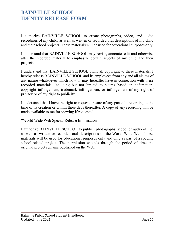# <span id="page-54-1"></span><span id="page-54-0"></span>**BAINVILLE SCHOOL IDENTIY RELEASE FORM**

I authorize BAINVILLE SCHOOL to create photographs, video, and audio recordings of my child, as well as written or recorded oral descriptions of my child and their school projects. These materials will be used for educational purposes only.

I understand that BAINVILLE SCHOOL may revise, annotate, edit and otherwise alter the recorded material to emphasize certain aspects of my child and their projects.

I understand that BAINVILLE SCHOOL owns all copyright to these materials. I hereby release BAINVILLE SCHOOL and its employees from any and all claims of any nature whatsoever which now or may hereafter have in connection with these recorded materials, including but not limited to claims based on defamation, copyright infringement, trademark infringement, or infringement of my right of privacy or of my right to publicity.

I understand that I have the right to request erasure of any part of a recording at the time of its creation or within three days thereafter. A copy of any recording will be made available to me for viewing if requested.

\*World Wide Web Special Release Information

I authorize BAINVILLE SCHOOL to publish photographs, video, or audio of me, as well as written or recorded oral descriptions on the World Wide Web. These materials will be used for educational purposes only and only as part of a specific school-related project. The permission extends through the period of time the original project remains published on the Web.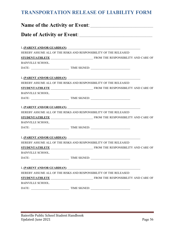# <span id="page-55-0"></span>**TRANSPORTATION RELEASE OF LIABILITY FORM**

| I, <u>(PARENT AND/OR GUARDIAN)</u><br>HEREBY ASSUME ALL OF THE RISKS AND RESPONSIBILITY OF THE RELEASED<br><b>BAINVILLE SCHOOL.</b><br>I, <u>(PARENT AND/OR GUARDIAN)</u><br>HEREBY ASSUME ALL OF THE RISKS AND RESPONSIBILITY OF THE RELEASED<br><b>BAINVILLE SCHOOL.</b><br>I, <u>(PARENT AND/OR GUARDIAN)</u><br>HEREBY ASSUME ALL OF THE RISKS AND RESPONSIBILITY OF THE RELEASED<br><b>BAINVILLE SCHOOL.</b><br>I, (PARENT AND/OR GUARDIAN)<br>HEREBY ASSUME ALL OF THE RISKS AND RESPONSIBILITY OF THE RELEASED<br><b>BAINVILLE SCHOOL.</b><br>I, <u>(PARENT AND/OR GUARDIAN)</u><br>HEREBY ASSUME ALL OF THE RISKS AND RESPONSIBILITY OF THE RELEASED<br><b>BAINVILLE SCHOOL.</b> |  | Name of the Activity or Event: |  |
|------------------------------------------------------------------------------------------------------------------------------------------------------------------------------------------------------------------------------------------------------------------------------------------------------------------------------------------------------------------------------------------------------------------------------------------------------------------------------------------------------------------------------------------------------------------------------------------------------------------------------------------------------------------------------------------|--|--------------------------------|--|
|                                                                                                                                                                                                                                                                                                                                                                                                                                                                                                                                                                                                                                                                                          |  |                                |  |
|                                                                                                                                                                                                                                                                                                                                                                                                                                                                                                                                                                                                                                                                                          |  |                                |  |
|                                                                                                                                                                                                                                                                                                                                                                                                                                                                                                                                                                                                                                                                                          |  |                                |  |
|                                                                                                                                                                                                                                                                                                                                                                                                                                                                                                                                                                                                                                                                                          |  |                                |  |
|                                                                                                                                                                                                                                                                                                                                                                                                                                                                                                                                                                                                                                                                                          |  |                                |  |
|                                                                                                                                                                                                                                                                                                                                                                                                                                                                                                                                                                                                                                                                                          |  |                                |  |
|                                                                                                                                                                                                                                                                                                                                                                                                                                                                                                                                                                                                                                                                                          |  |                                |  |
|                                                                                                                                                                                                                                                                                                                                                                                                                                                                                                                                                                                                                                                                                          |  |                                |  |
|                                                                                                                                                                                                                                                                                                                                                                                                                                                                                                                                                                                                                                                                                          |  |                                |  |
|                                                                                                                                                                                                                                                                                                                                                                                                                                                                                                                                                                                                                                                                                          |  |                                |  |
|                                                                                                                                                                                                                                                                                                                                                                                                                                                                                                                                                                                                                                                                                          |  |                                |  |
|                                                                                                                                                                                                                                                                                                                                                                                                                                                                                                                                                                                                                                                                                          |  |                                |  |
|                                                                                                                                                                                                                                                                                                                                                                                                                                                                                                                                                                                                                                                                                          |  |                                |  |
|                                                                                                                                                                                                                                                                                                                                                                                                                                                                                                                                                                                                                                                                                          |  |                                |  |
|                                                                                                                                                                                                                                                                                                                                                                                                                                                                                                                                                                                                                                                                                          |  |                                |  |
|                                                                                                                                                                                                                                                                                                                                                                                                                                                                                                                                                                                                                                                                                          |  |                                |  |
|                                                                                                                                                                                                                                                                                                                                                                                                                                                                                                                                                                                                                                                                                          |  |                                |  |
|                                                                                                                                                                                                                                                                                                                                                                                                                                                                                                                                                                                                                                                                                          |  |                                |  |
|                                                                                                                                                                                                                                                                                                                                                                                                                                                                                                                                                                                                                                                                                          |  |                                |  |
|                                                                                                                                                                                                                                                                                                                                                                                                                                                                                                                                                                                                                                                                                          |  |                                |  |
|                                                                                                                                                                                                                                                                                                                                                                                                                                                                                                                                                                                                                                                                                          |  |                                |  |
|                                                                                                                                                                                                                                                                                                                                                                                                                                                                                                                                                                                                                                                                                          |  |                                |  |
|                                                                                                                                                                                                                                                                                                                                                                                                                                                                                                                                                                                                                                                                                          |  |                                |  |
|                                                                                                                                                                                                                                                                                                                                                                                                                                                                                                                                                                                                                                                                                          |  |                                |  |
|                                                                                                                                                                                                                                                                                                                                                                                                                                                                                                                                                                                                                                                                                          |  |                                |  |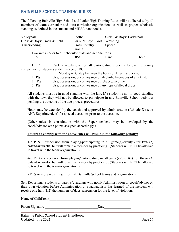## <span id="page-56-0"></span>**BAINVILLE SCHOOL TRAINING RULES**

The following Bainville High School and Junior High Training Rules will be adhered to by all members of extra-curricular and intra-curricular organizations as well as proper scholastic standing as defined in the student and MHSA handbooks.

| Football             | Girls' & Boys' Basketball |                                                                                             |
|----------------------|---------------------------|---------------------------------------------------------------------------------------------|
|                      |                           |                                                                                             |
| <b>Cross Country</b> | Speech                    |                                                                                             |
| Drama                |                           |                                                                                             |
|                      |                           |                                                                                             |
| <b>BPA</b>           | Band                      | Choir                                                                                       |
|                      |                           | Girls' & Boys' Golf Wrestling<br>Two weeks prior to all scheduled state and national trips: |

1 Pt Curfew regulations for all participating students follow the county curfew law for students under the age of 18:

Monday – Sunday between the hours of 11 pm and 5 am.

- 3 Pts Use, possession, or conveyance of alcoholic beverages of any kind.
- 3 Pts Use, possession, or conveyance of tobacco/nicotine.
- 6 Pts Use, possession, or conveyance of any type of illegal drugs.

All students must be in good standing with the law. If a student is not in good standing with the law, they will not be allowed to participate in any Bainville School activities pending the outcome of the due process procedures.

Hours may be extended by the coach and approved by administration (Athletic Director AND Superintendent) for special occasions prior to the occasion.

(Other rules, in consultation with the Superintendent, may be developed by the coach/advisor with points assigned accordingly.)

#### **Failure to comply with the above rules will result in the following penalty:**

1-3 PTS – suspension from playing/participating in all game(s)/event(s) for **two (2) calendar weeks,** but will remain a member by practicing . (Students will NOT be allowed to travel with the team/organization.)

4-6 PTS - suspension from playing/participating in all game(s)/event(s) for **three (3) calendar weeks,** but will remain a member by practicing . (Students will NOT be allowed to travel with the team/organization.)

7 PTS or more – dismissal from all Bainville School teams and organizations.

Self-Reporting: Students or parents/guardians who notify Administration or coach/advisor on their own violation before Administration or coach/advisor has learned of the incident will receive one-half (1/2) the numbers of days suspension for the level of violation.

Name of Child(ren)

Parent Signature Date